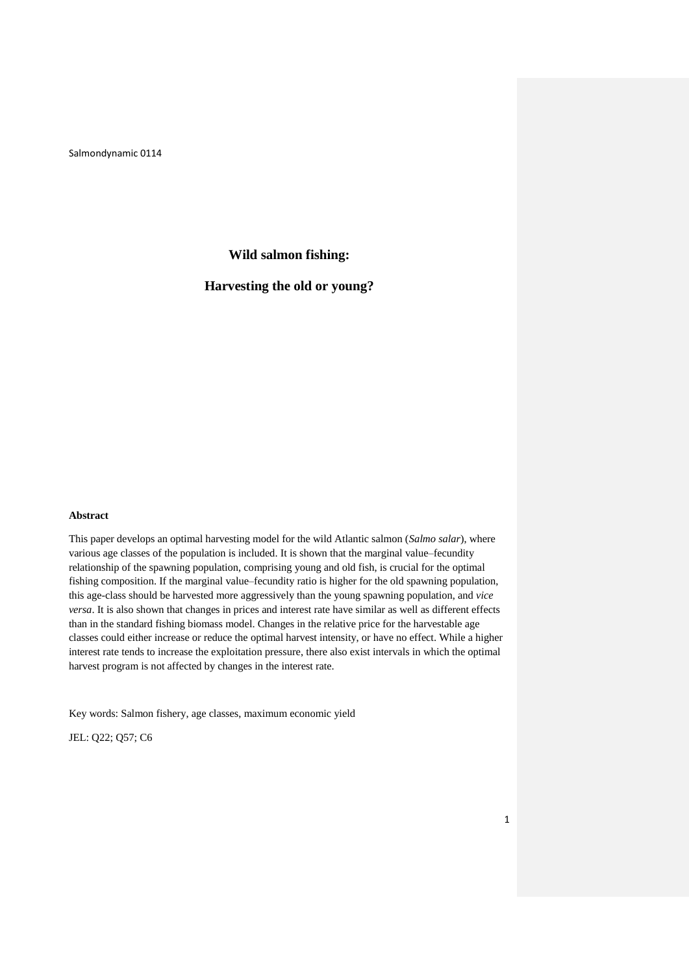Salmondynamic 0114

## **Wild salmon fishing:**

# **Harvesting the old or young?**

### **Abstract**

This paper develops an optimal harvesting model for the wild Atlantic salmon (*Salmo salar*), where various age classes of the population is included. It is shown that the marginal value–fecundity relationship of the spawning population, comprising young and old fish, is crucial for the optimal fishing composition. If the marginal value–fecundity ratio is higher for the old spawning population, this age-class should be harvested more aggressively than the young spawning population, and *vice versa*. It is also shown that changes in prices and interest rate have similar as well as different effects than in the standard fishing biomass model. Changes in the relative price for the harvestable age classes could either increase or reduce the optimal harvest intensity, or have no effect. While a higher interest rate tends to increase the exploitation pressure, there also exist intervals in which the optimal harvest program is not affected by changes in the interest rate.

Key words: Salmon fishery, age classes, maximum economic yield

JEL: Q22; Q57; C6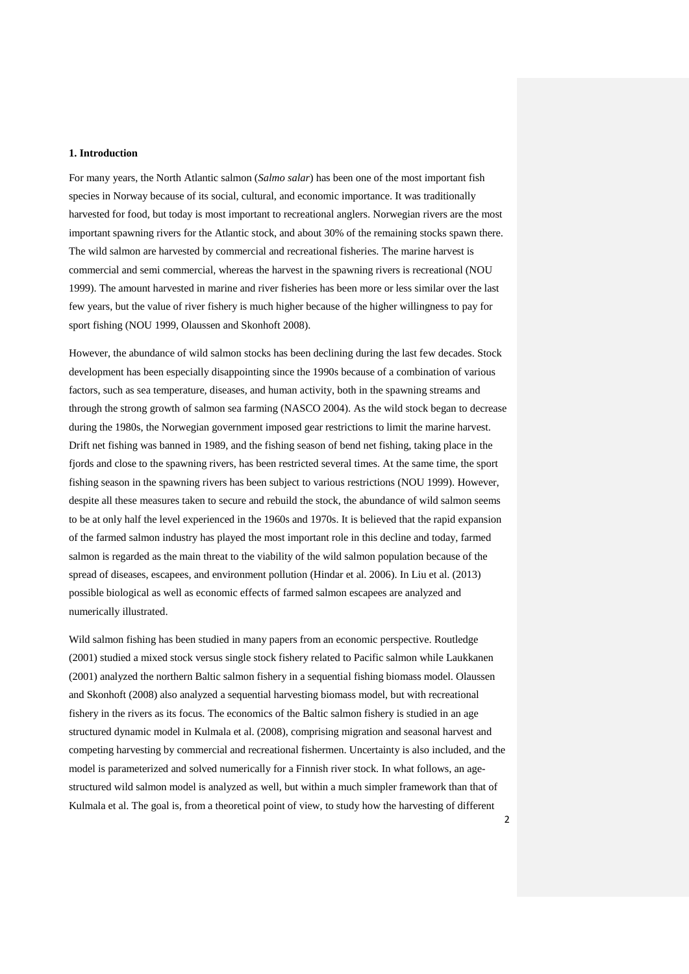#### **1. Introduction**

For many years, the North Atlantic salmon (*Salmo salar*) has been one of the most important fish species in Norway because of its social, cultural, and economic importance. It was traditionally harvested for food, but today is most important to recreational anglers. Norwegian rivers are the most important spawning rivers for the Atlantic stock, and about 30% of the remaining stocks spawn there. The wild salmon are harvested by commercial and recreational fisheries. The marine harvest is commercial and semi commercial, whereas the harvest in the spawning rivers is recreational (NOU 1999). The amount harvested in marine and river fisheries has been more or less similar over the last few years, but the value of river fishery is much higher because of the higher willingness to pay for sport fishing (NOU 1999, Olaussen and Skonhoft 2008).

However, the abundance of wild salmon stocks has been declining during the last few decades. Stock development has been especially disappointing since the 1990s because of a combination of various factors, such as sea temperature, diseases, and human activity, both in the spawning streams and through the strong growth of salmon sea farming (NASCO 2004). As the wild stock began to decrease during the 1980s, the Norwegian government imposed gear restrictions to limit the marine harvest. Drift net fishing was banned in 1989, and the fishing season of bend net fishing, taking place in the fjords and close to the spawning rivers, has been restricted several times. At the same time, the sport fishing season in the spawning rivers has been subject to various restrictions (NOU 1999). However, despite all these measures taken to secure and rebuild the stock, the abundance of wild salmon seems to be at only half the level experienced in the 1960s and 1970s. It is believed that the rapid expansion of the farmed salmon industry has played the most important role in this decline and today, farmed salmon is regarded as the main threat to the viability of the wild salmon population because of the spread of diseases, escapees, and environment pollution (Hindar et al. 2006). In Liu et al. (2013) possible biological as well as economic effects of farmed salmon escapees are analyzed and numerically illustrated.

Wild salmon fishing has been studied in many papers from an economic perspective. Routledge (2001) studied a mixed stock versus single stock fishery related to Pacific salmon while Laukkanen (2001) analyzed the northern Baltic salmon fishery in a sequential fishing biomass model. Olaussen and Skonhoft (2008) also analyzed a sequential harvesting biomass model, but with recreational fishery in the rivers as its focus. The economics of the Baltic salmon fishery is studied in an age structured dynamic model in Kulmala et al. (2008), comprising migration and seasonal harvest and competing harvesting by commercial and recreational fishermen. Uncertainty is also included, and the model is parameterized and solved numerically for a Finnish river stock. In what follows, an agestructured wild salmon model is analyzed as well, but within a much simpler framework than that of Kulmala et al. The goal is, from a theoretical point of view, to study how the harvesting of different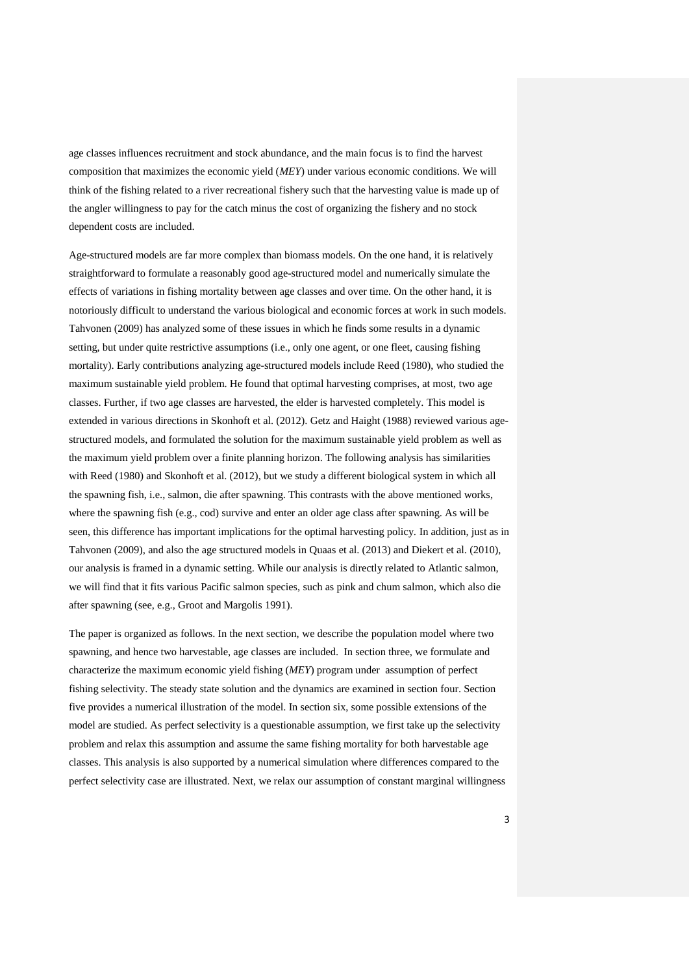age classes influences recruitment and stock abundance, and the main focus is to find the harvest composition that maximizes the economic yield (*MEY*) under various economic conditions. We will think of the fishing related to a river recreational fishery such that the harvesting value is made up of the angler willingness to pay for the catch minus the cost of organizing the fishery and no stock dependent costs are included.

Age-structured models are far more complex than biomass models. On the one hand, it is relatively straightforward to formulate a reasonably good age-structured model and numerically simulate the effects of variations in fishing mortality between age classes and over time. On the other hand, it is notoriously difficult to understand the various biological and economic forces at work in such models. Tahvonen (2009) has analyzed some of these issues in which he finds some results in a dynamic setting, but under quite restrictive assumptions (i.e., only one agent, or one fleet, causing fishing mortality). Early contributions analyzing age-structured models include Reed (1980), who studied the maximum sustainable yield problem. He found that optimal harvesting comprises, at most, two age classes. Further, if two age classes are harvested, the elder is harvested completely. This model is extended in various directions in Skonhoft et al. (2012). Getz and Haight (1988) reviewed various agestructured models, and formulated the solution for the maximum sustainable yield problem as well as the maximum yield problem over a finite planning horizon. The following analysis has similarities with Reed (1980) and Skonhoft et al. (2012), but we study a different biological system in which all the spawning fish, i.e., salmon, die after spawning. This contrasts with the above mentioned works, where the spawning fish (e.g., cod) survive and enter an older age class after spawning. As will be seen, this difference has important implications for the optimal harvesting policy. In addition, just as in Tahvonen (2009), and also the age structured models in Quaas et al. (2013) and Diekert et al. (2010), our analysis is framed in a dynamic setting. While our analysis is directly related to Atlantic salmon, we will find that it fits various Pacific salmon species, such as pink and chum salmon, which also die after spawning (see, e.g., Groot and Margolis 1991).

The paper is organized as follows. In the next section, we describe the population model where two spawning, and hence two harvestable, age classes are included. In section three, we formulate and characterize the maximum economic yield fishing (*MEY*) program under assumption of perfect fishing selectivity. The steady state solution and the dynamics are examined in section four. Section five provides a numerical illustration of the model. In section six, some possible extensions of the model are studied. As perfect selectivity is a questionable assumption, we first take up the selectivity problem and relax this assumption and assume the same fishing mortality for both harvestable age classes. This analysis is also supported by a numerical simulation where differences compared to the perfect selectivity case are illustrated. Next, we relax our assumption of constant marginal willingness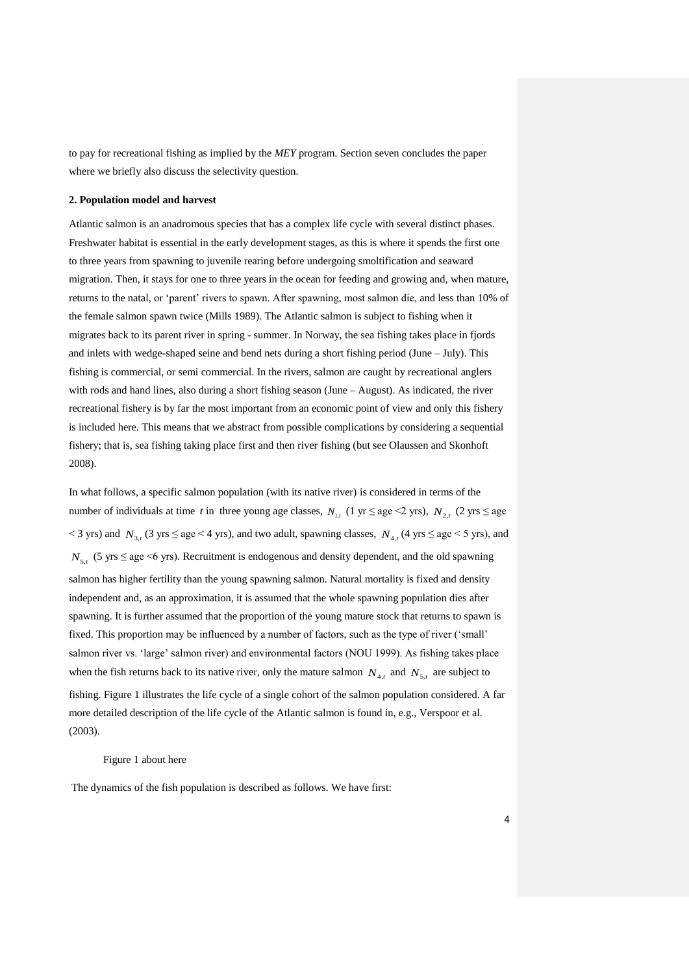to pay for recreational fishing as implied by the *MEY* program. Section seven concludes the paper where we briefly also discuss the selectivity question.

#### **2. Population model and harvest**

Atlantic salmon is an anadromous species that has a complex life cycle with several distinct phases. Freshwater habitat is essential in the early development stages, as this is where it spends the first one to three years from spawning to juvenile rearing before undergoing smoltification and seaward migration. Then, it stays for one to three years in the ocean for feeding and growing and, when mature, returns to the natal, or 'parent' rivers to spawn. After spawning, most salmon die, and less than 10% of the female salmon spawn twice (Mills 1989). The Atlantic salmon is subject to fishing when it migrates back to its parent river in spring - summer. In Norway, the sea fishing takes place in fjords and inlets with wedge-shaped seine and bend nets during a short fishing period (June – July). This fishing is commercial, or semi commercial. In the rivers, salmon are caught by recreational anglers with rods and hand lines, also during a short fishing season (June – August). As indicated, the river recreational fishery is by far the most important from an economic point of view and only this fishery is included here. This means that we abstract from possible complications by considering a sequential fishery; that is, sea fishing taking place first and then river fishing (but see Olaussen and Skonhoft 2008).

In what follows, a specific salmon population (with its native river) is considered in terms of the number of individuals at time *t* in three young age classes,  $N_{1,t}$  (1 yr  $\leq$  age  $\leq$ 2 yrs),  $N_{2,t}$  (2 yrs  $\leq$  age  $(3 \text{ yrs})$  and  $N_{3,t}$  (3 yrs  $\leq$  age  $\leq$  4 yrs), and two adult, spawning classes,  $N_{4,t}$  (4 yrs  $\leq$  age  $\leq$  5 yrs), and  $N_{5,t}$  (5 yrs  $\leq$  age  $\leq$ 6 yrs). Recruitment is endogenous and density dependent, and the old spawning salmon has higher fertility than the young spawning salmon. Natural mortality is fixed and density independent and, as an approximation, it is assumed that the whole spawning population dies after spawning. It is further assumed that the proportion of the young mature stock that returns to spawn is fixed. This proportion may be influenced by a number of factors, such as the type of river ('small' salmon river vs. 'large' salmon river) and environmental factors (NOU 1999). As fishing takes place when the fish returns back to its native river, only the mature salmon  $N_{4,t}$  and  $N_{5,t}$  are subject to fishing. Figure 1 illustrates the life cycle of a single cohort of the salmon population considered. A far more detailed description of the life cycle of the Atlantic salmon is found in, e.g., Verspoor et al. (2003).

## Figure 1 about here

The dynamics of the fish population is described as follows. We have first: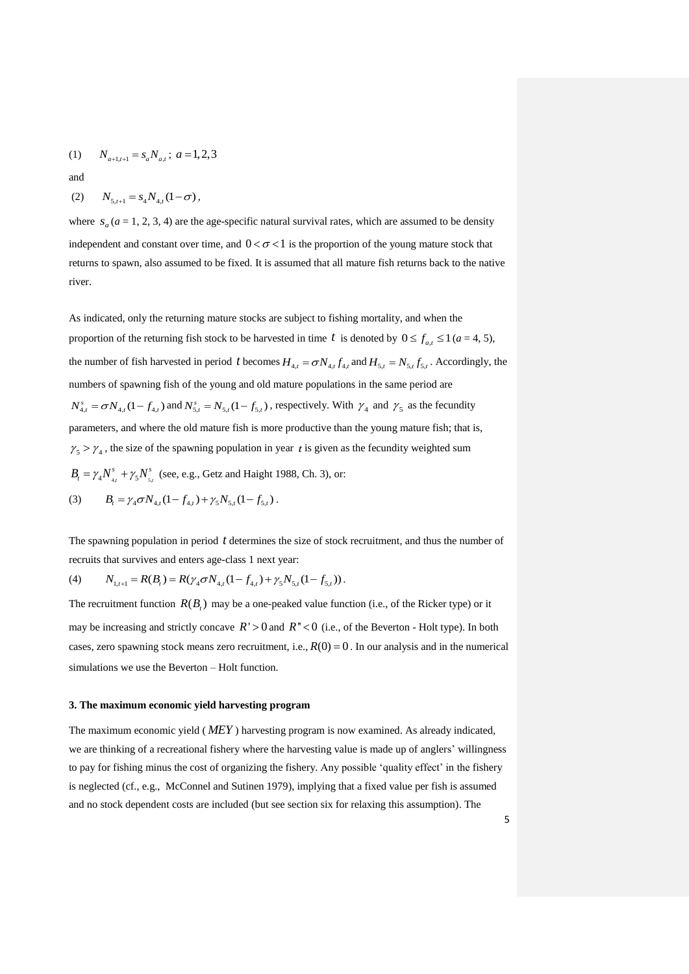$$
(1) \tN_{a+1,t+1} = s_a N_{a,t} \t; a = 1,2,3
$$

and

(2) 
$$
N_{5,t+1} = s_4 N_{4,t} (1 - \sigma),
$$

where  $s_a$  ( $a = 1, 2, 3, 4$ ) are the age-specific natural survival rates, which are assumed to be density independent and constant over time, and  $0 < \sigma < 1$  is the proportion of the young mature stock that returns to spawn, also assumed to be fixed. It is assumed that all mature fish returns back to the native river.

As indicated, only the returning mature stocks are subject to fishing mortality, and when the proportion of the returning fish stock to be harvested in time t is denoted by  $0 \le f_{a,t} \le 1$  ( $a = 4, 5$ ), the number of fish harvested in period t becomes  $H_{4,t} = \sigma N_{4,t} f_{4,t}$  and  $H_{5,t} = N_{5,t} f_{5,t}$ . Accordingly, the numbers of spawning fish of the young and old mature populations in the same period are  $N_{4,t}^s = \sigma N_{4,t} (1 - f_{4,t})$  and  $N_{5,t}^s = N_{5,t} (1 - f_{5,t})$ , respectively. With  $\gamma_4$  and  $\gamma_5$  as the fecundity parameters, and where the old mature fish is more productive than the young mature fish; that is,  $\gamma_5 > \gamma_4$ , the size of the spawning population in year t is given as the fecundity weighted sum  $B_t = \gamma_4 N_{_{4,t}}^s + \gamma_5 N_{_{5,t}}^s$  (see, e.g., Getz and Haight 1988, Ch. 3), or:<br>
(3)  $B_t = \gamma_4 \sigma N_{4,t} (1 - f_{4,t}) + \gamma_5 N_{5,t} (1 - f_{5,t})$ .

(3) 
$$
B_t = \gamma_4 \sigma N_{4,t} (1 - f_{4,t}) + \gamma_5 N_{5,t} (1 - f_{5,t}).
$$

The spawning population in period *t* determines the size of stock recruitment, and thus the number of recruits that survives and enters age-class 1 next year:<br>
(4)  $N_{1,t+1} = R(B_t) = R(\gamma_4 \sigma N_{4,t} (1 - f_{4,t}) + \gamma_5 N_{5,t} (1 - f_{5,t}))$ .

(4) 
$$
N_{1,t+1} = R(B_t) = R(\gamma_4 \sigma N_{4,t} (1 - f_{4,t}) + \gamma_5 N_{5,t} (1 - f_{5,t}))
$$

The recruitment function  $R(B_t)$  may be a one-peaked value function (i.e., of the Ricker type) or it may be increasing and strictly concave  $R' > 0$  and  $R'' < 0$  (i.e., of the Beverton - Holt type). In both cases, zero spawning stock means zero recruitment, i.e.,  $R(0) = 0$ . In our analysis and in the numerical simulations we use the Beverton – Holt function.

### **3. The maximum economic yield harvesting program**

The maximum economic yield ( *MEY* ) harvesting program is now examined. As already indicated, we are thinking of a recreational fishery where the harvesting value is made up of anglers' willingness to pay for fishing minus the cost of organizing the fishery. Any possible 'quality effect' in the fishery is neglected (cf., e.g., McConnel and Sutinen 1979), implying that a fixed value per fish is assumed and no stock dependent costs are included (but see section six for relaxing this assumption). The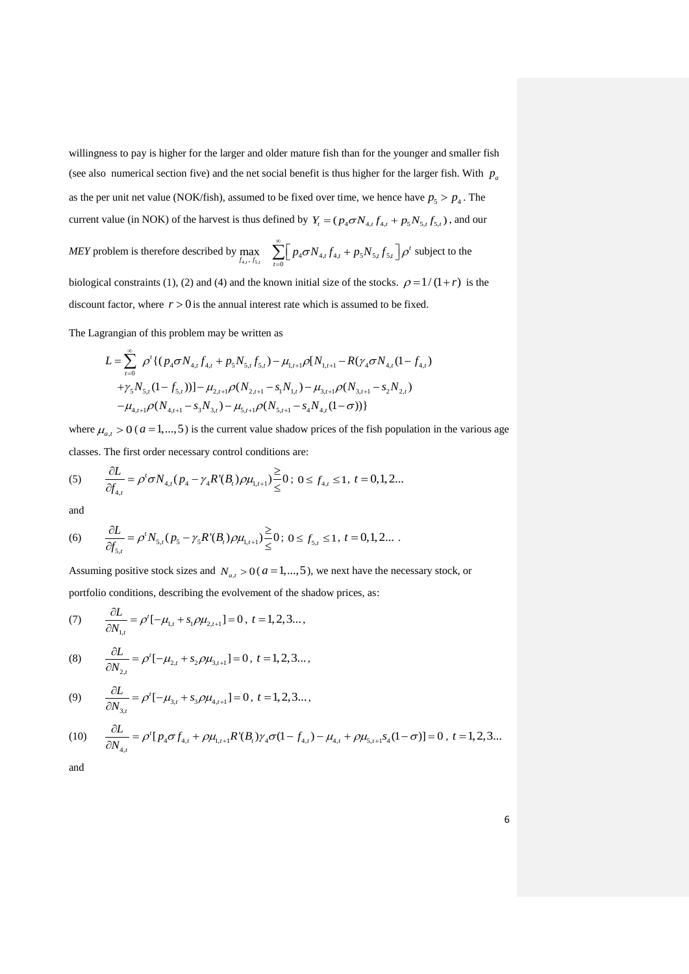willingness to pay is higher for the larger and older mature fish than for the younger and smaller fish (see also numerical section five) and the net social benefit is thus higher for the larger fish. With  $p_a$ as the per unit net value (NOK/fish), assumed to be fixed over time, we hence have  $p_5 > p_4$ . The current value (in NOK) of the harvest is thus defined by  $Y_t = (p_4 \sigma N_{4,t} f_{4,t} + p_5 N_{5,t} f_{5,t})$ , and our

*MEY* problem is therefore described by  $\max_{f_{4t}, f_{5t}} \sum_{t=0}$   $\left[ p_4 \sigma N_{4t}, f_{4t} + p_5 N_{5t}, f_{5t} \right]$  $\max_{f_{4,t}, f_{5,t}}$   $\sum_{t=0}^{\infty} \Big[ p_4 \sigma N_{4,t} f_{4,t} + p_5 N_{5,t} f_{5,t} \Big] \rho^t$  subj  $\sum_{t=0}^{\infty} \left[ p_4 \sigma N_{4,t} f_{4,t} + p_5 N_{5,t} f_{5,t} \right] \rho^t$  subject to the biological constraints (1), (2) and (4) and the known initial size of the stocks.  $\rho = 1/(1+r)$  is the

discount factor, where  $r > 0$  is the annual interest rate which is assumed to be fixed.

The Lagrangian of this problem may be written as  
\n
$$
L = \sum_{t=0}^{\infty} \rho' \{ (p_4 \sigma N_{4,t} f_{4,t} + p_5 N_{5,t} f_{5,t}) - \mu_{1,t+1} \rho [N_{1,t+1} - R(\gamma_4 \sigma N_{4,t} (1 - f_{4,t})
$$
\n
$$
+ \gamma_5 N_{5,t} (1 - f_{5,t}) ) ] - \mu_{2,t+1} \rho (N_{2,t+1} - s_1 N_{1,t}) - \mu_{3,t+1} \rho (N_{3,t+1} - s_2 N_{2,t})
$$
\n
$$
- \mu_{4,t+1} \rho (N_{4,t+1} - s_3 N_{3,t}) - \mu_{5,t+1} \rho (N_{5,t+1} - s_4 N_{4,t} (1 - \sigma)) \}
$$

where  $\mu_{a,t} > 0$  ( $a = 1,...,5$ ) is the current value shadow prices of the fish population in the various age

classes. The first order necessary control conditions are:  
\n(5) 
$$
\frac{\partial L}{\partial f_{4,t}} = \rho^t \sigma N_{4,t} (p_4 - \gamma_4 R^t(B_t) \rho \mu_{1,t+1}) \frac{\geq}{\leq} 0; 0 \leq f_{4,t} \leq 1, t = 0,1,2...
$$

and

and  
\n(6) 
$$
\frac{\partial L}{\partial f_{5,t}} = \rho^t N_{5,t} (p_5 - \gamma_5 R^t (B_t) \rho \mu_{1,t+1}) \leq 0; \ 0 \leq f_{5,t} \leq 1, \ t = 0,1,2...
$$

Assuming positive stock sizes and  $N_{a,t} > 0$  ( $a = 1,...,5$ ), we next have the necessary stock, or portfolio conditions, describing the evolvement of the shadow prices, as:

(7) 
$$
\frac{\partial L}{\partial N_{1,t}} = \rho'[-\mu_{1,t} + s_1 \rho \mu_{2,t+1}] = 0, \ t = 1, 2, 3...
$$

(8) 
$$
\frac{\partial L}{\partial N_{2,t}} = \rho'[-\mu_{2,t} + s_2 \rho \mu_{3,t+1}] = 0, \ t = 1, 2, 3...
$$

(9) 
$$
\frac{\partial L}{\partial N_{3,t}} = \rho'[-\mu_{3,t} + s_3 \rho \mu_{4,t+1}] = 0, \ t = 1, 2, 3...
$$

(9) 
$$
\frac{\partial L}{\partial N_{3,t}} = \rho'[-\mu_{3,t} + s_3 \rho \mu_{4,t+1}] = 0, \ t = 1, 2, 3...
$$
  
(10) 
$$
\frac{\partial L}{\partial N_{4,t}} = \rho'[p_4 \sigma f_{4,t} + \rho \mu_{1,t+1} R'(B_t) \gamma_4 \sigma (1 - f_{4,t}) - \mu_{4,t} + \rho \mu_{5,t+1} s_4 (1 - \sigma)] = 0, \ t = 1, 2, 3...
$$

and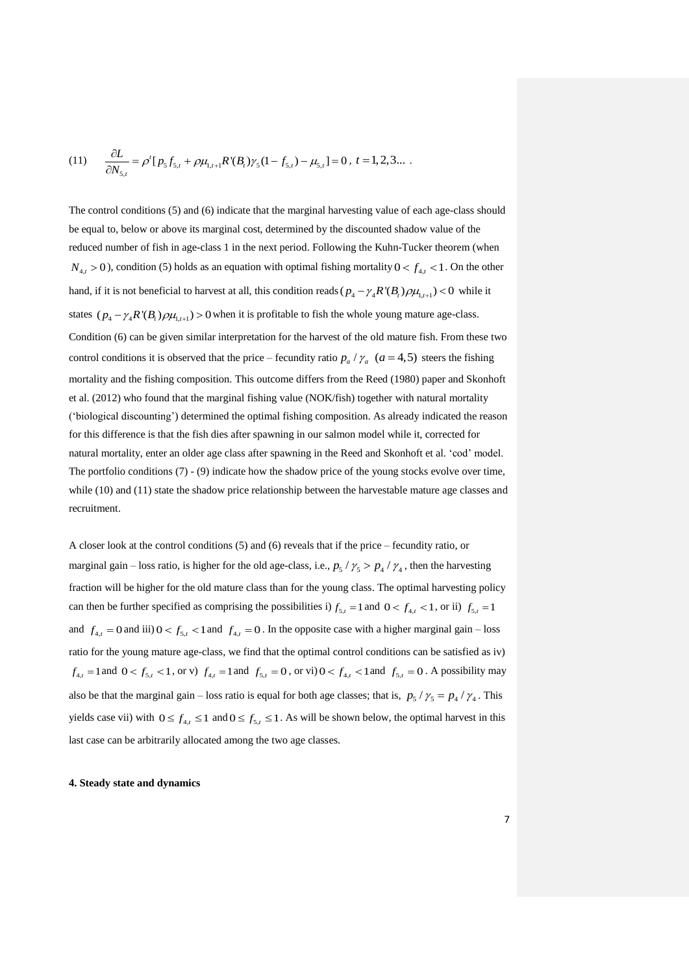(11) 
$$
\frac{\partial L}{\partial N_{5,t}} = \rho^t [p_5 f_{5,t} + \rho \mu_{1,t+1} R^t(B_t) \gamma_5 (1 - f_{5,t}) - \mu_{5,t}] = 0, \ t = 1, 2, 3...
$$

The control conditions (5) and (6) indicate that the marginal harvesting value of each age-class should be equal to, below or above its marginal cost, determined by the discounted shadow value of the reduced number of fish in age-class 1 in the next period. Following the Kuhn-Tucker theorem (when  $N_{4,t} > 0$ ), condition (5) holds as an equation with optimal fishing mortality  $0 < f_{4,t} < 1$ . On the other hand, if it is not beneficial to harvest at all, this condition reads  $(p_4 - \gamma_4 R'(B_t)\rho\mu_{1,t+1}) < 0$  while it states  $(p_4 - \gamma_4 R'(B_t) \rho \mu_{1,t+1}) > 0$  when it is profitable to fish the whole young mature age-class. Condition (6) can be given similar interpretation for the harvest of the old mature fish. From these two control conditions it is observed that the price – fecundity ratio  $p_a / \gamma_a$  ( $a = 4, 5$ ) steers the fishing mortality and the fishing composition. This outcome differs from the Reed (1980) paper and Skonhoft et al. (2012) who found that the marginal fishing value (NOK/fish) together with natural mortality ('biological discounting') determined the optimal fishing composition. As already indicated the reason for this difference is that the fish dies after spawning in our salmon model while it, corrected for natural mortality, enter an older age class after spawning in the Reed and Skonhoft et al. 'cod' model. The portfolio conditions (7) - (9) indicate how the shadow price of the young stocks evolve over time, while (10) and (11) state the shadow price relationship between the harvestable mature age classes and recruitment.

A closer look at the control conditions (5) and (6) reveals that if the price – fecundity ratio, or marginal gain – loss ratio, is higher for the old age-class, i.e.,  $p_5 / \gamma_5 > p_4 / \gamma_4$ , then the harvesting fraction will be higher for the old mature class than for the young class. The optimal harvesting policy can then be further specified as comprising the possibilities i)  $f_{5,t} = 1$  and  $0 < f_{4,t} < 1$ , or ii)  $f_{5,t} = 1$ and  $f_{4,t} = 0$  and iii)  $0 < f_{5,t} < 1$  and  $f_{4,t} = 0$ . In the opposite case with a higher marginal gain – loss ratio for the young mature age-class, we find that the optimal control conditions can be satisfied as iv)  $f_{4,t} = 1$  and  $0 < f_{5,t} < 1$ , or v)  $f_{4,t} = 1$  and  $f_{5,t} = 0$ , or vi)  $0 < f_{4,t} < 1$  and  $f_{5,t} = 0$ . A possibility may also be that the marginal gain – loss ratio is equal for both age classes; that is,  $p_5 / \gamma_5 = p_4 / \gamma_4$ . This yields case vii) with  $0 \le f_{4,t} \le 1$  and  $0 \le f_{5,t} \le 1$ . As will be shown below, the optimal harvest in this last case can be arbitrarily allocated among the two age classes.

#### **4. Steady state and dynamics**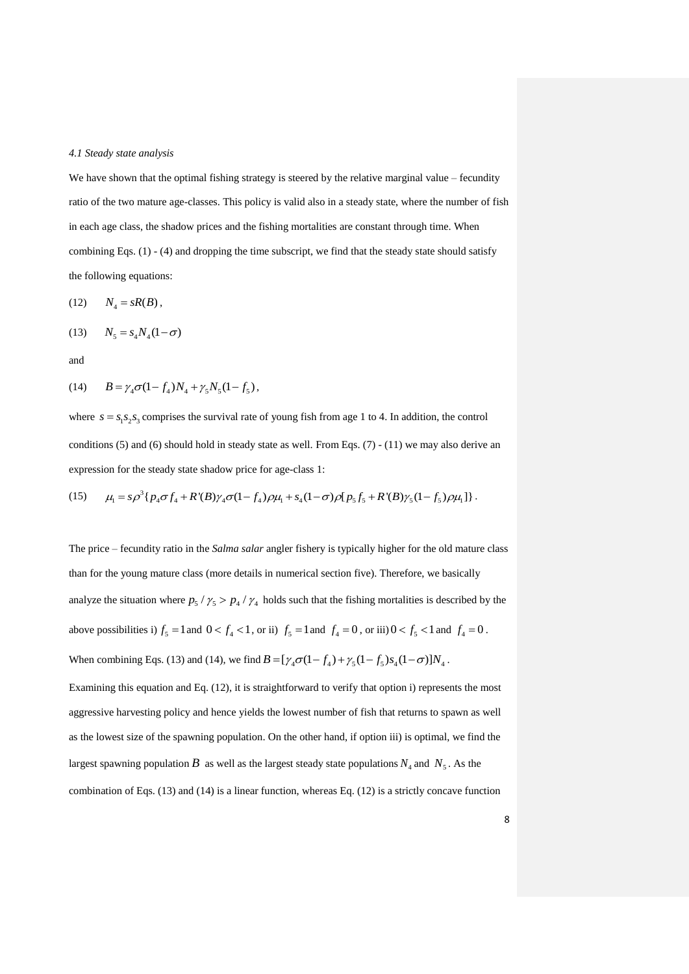#### *4.1 Steady state analysis*

We have shown that the optimal fishing strategy is steered by the relative marginal value – fecundity ratio of the two mature age-classes. This policy is valid also in a steady state, where the number of fish in each age class, the shadow prices and the fishing mortalities are constant through time. When combining Eqs. (1) - (4) and dropping the time subscript, we find that the steady state should satisfy the following equations:

$$
(12) \qquad N_4 = sR(B)\,,
$$

(13) 
$$
N_5 = s_4 N_4 (1 - \sigma)
$$

and

(14) 
$$
B = \gamma_4 \sigma (1 - f_4) N_4 + \gamma_5 N_5 (1 - f_5),
$$

where  $s = s_1 s_2 s_3$  comprises the survival rate of young fish from age 1 to 4. In addition, the control conditions (5) and (6) should hold in steady state as well. From Eqs. (7) - (11) we may also derive an expression for the steady state shadow price for age-class 1: on for the steady state shadow price for age-class 1:<br>  $\mu_1 = s\rho^3 \{p_4 \sigma f_4 + R'(B)\gamma_4 \sigma (1 - f_4)\rho \mu_1 + s_4 (1 - \sigma)\rho [p_5 f_5 + R'(B)\gamma_5 (1 - f_5)\rho \mu_1] \}.$ 

(15) 
$$
\mu_1 = s\rho^3 \{p_4 \sigma f_4 + R'(B)\gamma_4 \sigma (1 - f_4)\rho \mu_1 + s_4(1 - \sigma)\rho [p_5 f_5 + R'(B)\gamma_5(1 - f_5)\rho \mu_1]\}
$$

The price – fecundity ratio in the *Salma salar* angler fishery is typically higher for the old mature class than for the young mature class (more details in numerical section five). Therefore, we basically analyze the situation where  $p_5 / \gamma_5 > p_4 / \gamma_4$  holds such that the fishing mortalities is described by the above possibilities i)  $f_5 = 1$  and  $0 < f_4 < 1$ , or ii)  $f_5 = 1$  and  $f_4 = 0$ , or iii)  $0 < f_5 < 1$  and  $f_4 = 0$ . When combining Eqs. (13) and (14), we find  $B = [\gamma_4 \sigma (1 - f_4) + \gamma_5 (1 - f_5) s_4 (1 - \sigma)] N_4$ .

Examining this equation and Eq. (12), it is straightforward to verify that option i) represents the most aggressive harvesting policy and hence yields the lowest number of fish that returns to spawn as well as the lowest size of the spawning population. On the other hand, if option iii) is optimal, we find the largest spawning population B as well as the largest steady state populations  $N_4$  and  $N_5$ . As the combination of Eqs. (13) and (14) is a linear function, whereas Eq. (12) is a strictly concave function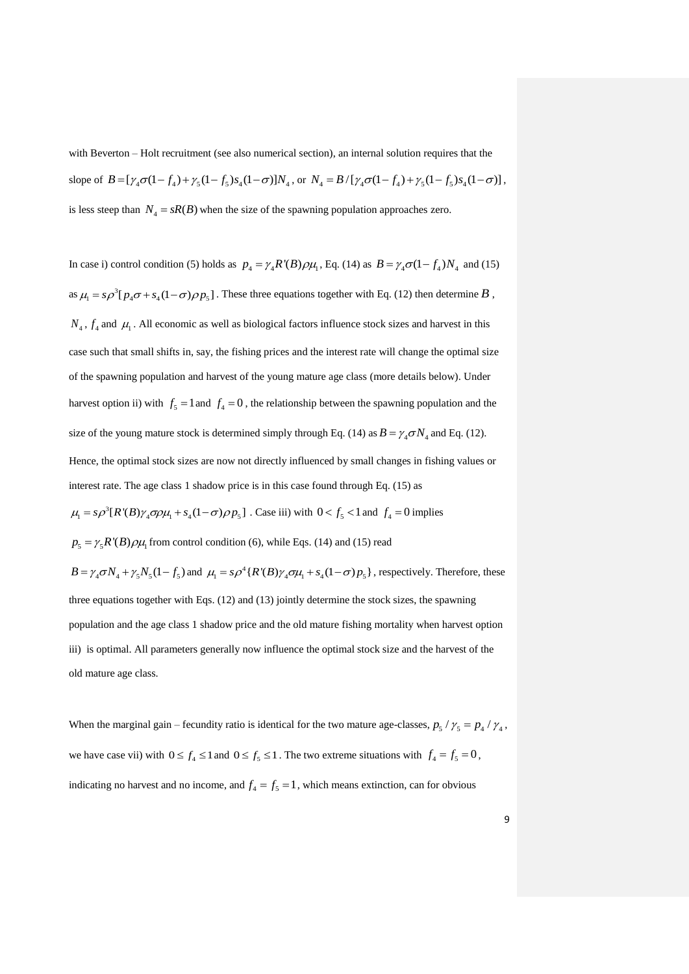with Beverton – Holt recruitment (see also numerical section), an internal solution requires that the slope of  $B = [\gamma_4 \sigma (1 - f_4) + \gamma_5 (1 - f_5) s_4 (1 - \sigma)] N_4$ , or  $N_4 = B/[\gamma_4 \sigma (1 - f_4) + \gamma_5 (1 - f_5) s_4 (1 - \sigma)]$ , is less steep than  $N_4 = sR(B)$  when the size of the spawning population approaches zero.

In case i) control condition (5) holds as  $p_4 = \gamma_4 R'(B)\rho\mu_1$ , Eq. (14) as  $B = \gamma_4 \sigma (1 - f_4)N_4$  and (15) as  $\mu_1 = s\rho^3[p_4\sigma + s_4(1-\sigma)\rho p_5]$ . These three equations together with Eq. (12) then determine *B*,  $N_4$ ,  $f_4$  and  $\mu_1$ . All economic as well as biological factors influence stock sizes and harvest in this case such that small shifts in, say, the fishing prices and the interest rate will change the optimal size of the spawning population and harvest of the young mature age class (more details below). Under harvest option ii) with  $f_5 = 1$  and  $f_4 = 0$ , the relationship between the spawning population and the size of the young mature stock is determined simply through Eq. (14) as  $B = \gamma_4 \sigma N_4$  and Eq. (12). Hence, the optimal stock sizes are now not directly influenced by small changes in fishing values or interest rate. The age class 1 shadow price is in this case found through Eq. (15) as 3  $\mu_1 = s\rho^3[R'(B)\gamma_4\sigma\rho\mu_1 + s_4(1-\sigma)\rho p_5]$ . Case iii) with  $0 < f_5 < 1$  and  $f_4 = 0$  implies  $p_5 = \gamma_5 R'(B) \rho \mu_1$  from control condition (6), while Eqs. (14) and (15) read  $B = \gamma_4 \sigma N_4 + \gamma_5 N_5 (1 - f_5)$  and  $\mu_1 = s \rho^4$  $\mu_1 = s \rho^4 \{R'(B) \gamma_4 \sigma \mu_1 + s_4 (1 - \sigma) p_5 \}$ , respectively. Therefore, these three equations together with Eqs. (12) and (13) jointly determine the stock sizes, the spawning population and the age class 1 shadow price and the old mature fishing mortality when harvest option iii) is optimal. All parameters generally now influence the optimal stock size and the harvest of the old mature age class.

When the marginal gain – fecundity ratio is identical for the two mature age-classes,  $p_5 / \gamma_5 = p_4 / \gamma_4$ , we have case vii) with  $0 \le f_4 \le 1$  and  $0 \le f_5 \le 1$ . The two extreme situations with  $f_4 = f_5 = 0$ , indicating no harvest and no income, and  $f_4 = f_5 = 1$ , which means extinction, can for obvious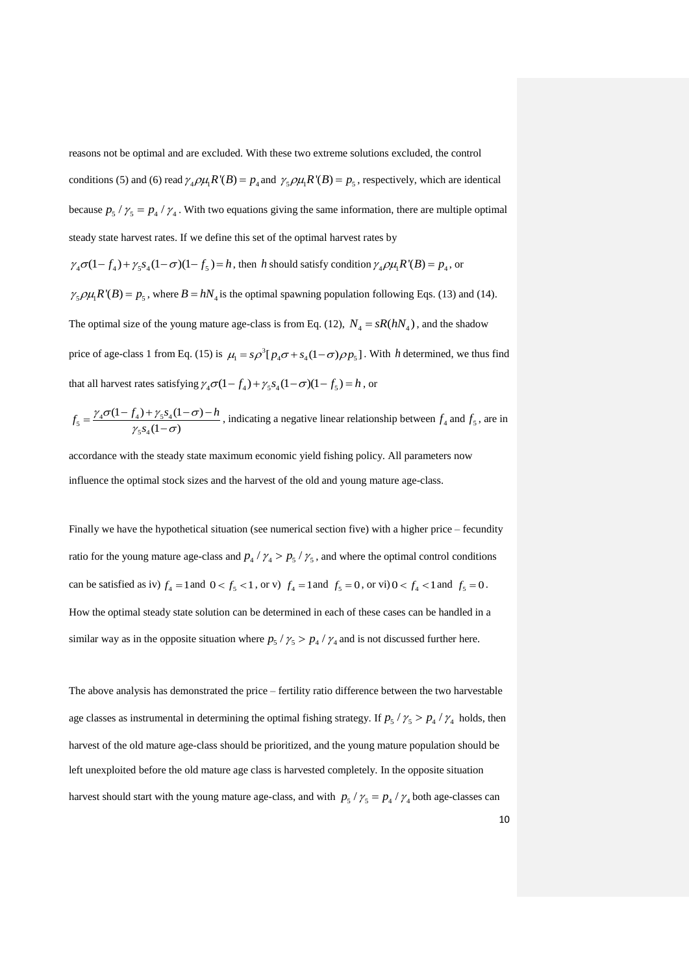reasons not be optimal and are excluded. With these two extreme solutions excluded, the control conditions (5) and (6) read  $\gamma_4 \rho \mu_1 R'(B) = p_4$  and  $\gamma_5 \rho \mu_1 R'(B) = p_5$ , respectively, which are identical because  $p_5 / \gamma_5 = p_4 / \gamma_4$ . With two equations giving the same information, there are multiple optimal steady state harvest rates. If we define this set of the optimal harvest rates by

 $\gamma_4 \sigma (1 - f_4) + \gamma_5 s_4 (1 - \sigma) (1 - f_5) = h$ , then *h* should satisfy condition  $\gamma_4 \rho \mu_1 R'(B) = p_4$ , or  $\gamma_5 \rho \mu_1 R'(B) = p_5$ , where  $B = hN_4$  is the optimal spawning population following Eqs. (13) and (14). The optimal size of the young mature age-class is from Eq. (12),  $N_4 = sR(hN_4)$ , and the shadow price of age-class 1 from Eq. (15) is  $\mu_1 = s\rho^3[p_4\sigma + s_4(1-\sigma)\rho p_5]$ . With *h* determined, we thus find that all harvest rates satisfying  $\gamma_4 \sigma (1 - f_4) + \gamma_5 s_4 (1 - \sigma) (1 - f_5) = h$ , or

$$
f_5 = \frac{\gamma_4 \sigma (1 - f_4) + \gamma_5 s_4 (1 - \sigma) - h}{\gamma_5 s_4 (1 - \sigma)}
$$
, indicating a negative linear relationship between  $f_4$  and  $f_5$ , are in

accordance with the steady state maximum economic yield fishing policy. All parameters now influence the optimal stock sizes and the harvest of the old and young mature age-class.

Finally we have the hypothetical situation (see numerical section five) with a higher price – fecundity ratio for the young mature age-class and  $p_4 / \gamma_4 > p_5 / \gamma_5$ , and where the optimal control conditions can be satisfied as iv)  $f_4 = 1$  and  $0 < f_5 < 1$ , or v)  $f_4 = 1$  and  $f_5 = 0$ , or vi)  $0 < f_4 < 1$  and  $f_5 = 0$ . How the optimal steady state solution can be determined in each of these cases can be handled in a similar way as in the opposite situation where  $p_5 / \gamma_5 > p_4 / \gamma_4$  and is not discussed further here.

The above analysis has demonstrated the price – fertility ratio difference between the two harvestable age classes as instrumental in determining the optimal fishing strategy. If  $p_5 / \gamma_5 > p_4 / \gamma_4$  holds, then harvest of the old mature age-class should be prioritized, and the young mature population should be left unexploited before the old mature age class is harvested completely. In the opposite situation harvest should start with the young mature age-class, and with  $p_5 / \gamma_5 = p_4 / \gamma_4$  both age-classes can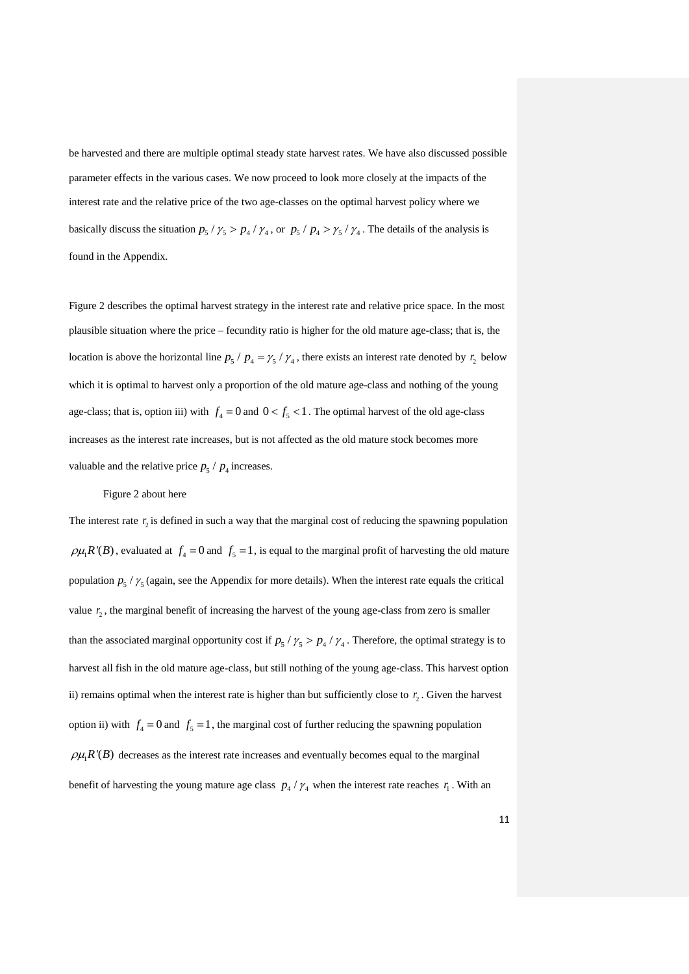be harvested and there are multiple optimal steady state harvest rates. We have also discussed possible parameter effects in the various cases. We now proceed to look more closely at the impacts of the interest rate and the relative price of the two age-classes on the optimal harvest policy where we basically discuss the situation  $p_5 / \gamma_5 > p_4 / \gamma_4$ , or  $p_5 / p_4 > \gamma_5 / \gamma_4$ . The details of the analysis is found in the Appendix.

Figure 2 describes the optimal harvest strategy in the interest rate and relative price space. In the most plausible situation where the price – fecundity ratio is higher for the old mature age-class; that is, the location is above the horizontal line  $p_5 / p_4 = \gamma_5 / \gamma_4$ , there exists an interest rate denoted by  $r_2$  below which it is optimal to harvest only a proportion of the old mature age-class and nothing of the young age-class; that is, option iii) with  $f_4 = 0$  and  $0 < f_5 < 1$ . The optimal harvest of the old age-class increases as the interest rate increases, but is not affected as the old mature stock becomes more valuable and the relative price  $p_5 / p_4$  increases.

## Figure 2 about here

The interest rate  $r_2$  is defined in such a way that the marginal cost of reducing the spawning population  $\rho\mu_1 R'(B)$ , evaluated at  $f_4 = 0$  and  $f_5 = 1$ , is equal to the marginal profit of harvesting the old mature population  $p_5 / \gamma_5$  (again, see the Appendix for more details). When the interest rate equals the critical value  $r_2$ , the marginal benefit of increasing the harvest of the young age-class from zero is smaller than the associated marginal opportunity cost if  $p_5 / \gamma_5 > p_4 / \gamma_4$ . Therefore, the optimal strategy is to harvest all fish in the old mature age-class, but still nothing of the young age-class. This harvest option ii) remains optimal when the interest rate is higher than but sufficiently close to  $r<sub>2</sub>$ . Given the harvest option ii) with  $f_4 = 0$  and  $f_5 = 1$ , the marginal cost of further reducing the spawning population  $\rho\mu_1 R'(B)$  decreases as the interest rate increases and eventually becomes equal to the marginal benefit of harvesting the young mature age class  $p_4 / \gamma_4$  when the interest rate reaches  $r_1$ . With an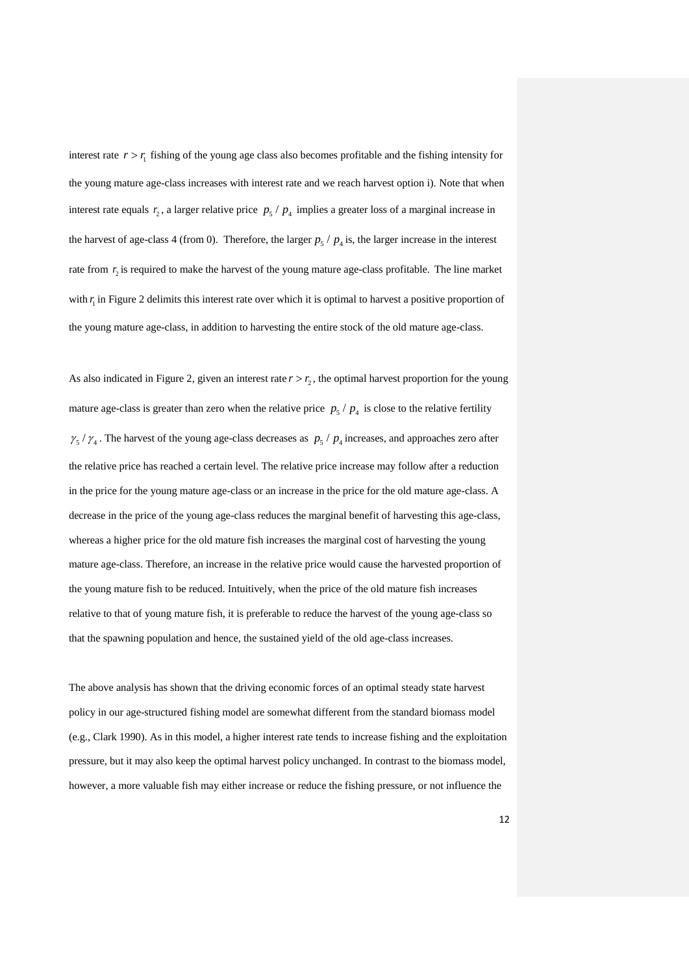interest rate  $r > r_1$  fishing of the young age class also becomes profitable and the fishing intensity for the young mature age-class increases with interest rate and we reach harvest option i). Note that when interest rate equals  $r_2$ , a larger relative price  $p_5 / p_4$  implies a greater loss of a marginal increase in the harvest of age-class 4 (from 0). Therefore, the larger  $p_5 / p_4$  is, the larger increase in the interest rate from  $r_2$  is required to make the harvest of the young mature age-class profitable. The line market with  $r<sub>i</sub>$  in Figure 2 delimits this interest rate over which it is optimal to harvest a positive proportion of the young mature age-class, in addition to harvesting the entire stock of the old mature age-class.

As also indicated in Figure 2, given an interest rate  $r > r<sub>2</sub>$ , the optimal harvest proportion for the young mature age-class is greater than zero when the relative price  $p_5/p_4$  is close to the relative fertility  $\gamma_5$  / $\gamma_4$ . The harvest of the young age-class decreases as  $p_5$  / $p_4$  increases, and approaches zero after the relative price has reached a certain level. The relative price increase may follow after a reduction in the price for the young mature age-class or an increase in the price for the old mature age-class. A decrease in the price of the young age-class reduces the marginal benefit of harvesting this age-class, whereas a higher price for the old mature fish increases the marginal cost of harvesting the young mature age-class. Therefore, an increase in the relative price would cause the harvested proportion of the young mature fish to be reduced. Intuitively, when the price of the old mature fish increases relative to that of young mature fish, it is preferable to reduce the harvest of the young age-class so that the spawning population and hence, the sustained yield of the old age-class increases.

The above analysis has shown that the driving economic forces of an optimal steady state harvest policy in our age-structured fishing model are somewhat different from the standard biomass model (e.g., Clark 1990). As in this model, a higher interest rate tends to increase fishing and the exploitation pressure, but it may also keep the optimal harvest policy unchanged. In contrast to the biomass model, however, a more valuable fish may either increase or reduce the fishing pressure, or not influence the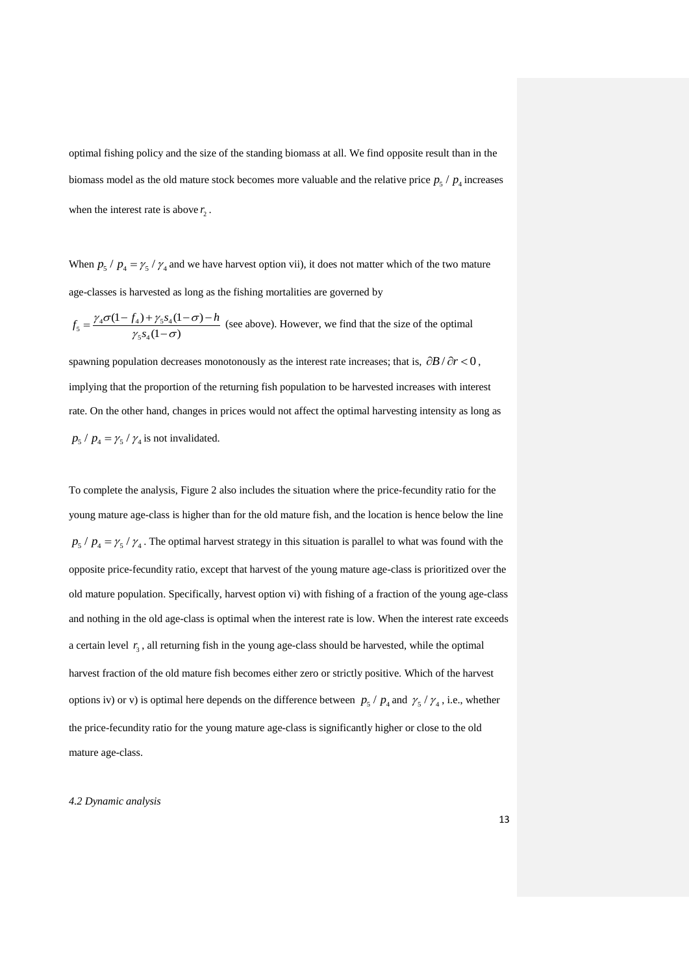optimal fishing policy and the size of the standing biomass at all. We find opposite result than in the biomass model as the old mature stock becomes more valuable and the relative price  $p_5 / p_4$  increases when the interest rate is above  $r_2$ .

When  $p_s / p_4 = \gamma_s / \gamma_4$  and we have harvest option vii), it does not matter which of the two mature age-classes is harvested as long as the fishing mortalities are governed by

$$
f_5 = \frac{\gamma_4 \sigma (1 - f_4) + \gamma_5 s_4 (1 - \sigma) - h}{\gamma_5 s_4 (1 - \sigma)}
$$
 (see above). However, we find that the size of the optimal

spawning population decreases monotonously as the interest rate increases; that is,  $\partial B / \partial r$  < 0, implying that the proportion of the returning fish population to be harvested increases with interest rate. On the other hand, changes in prices would not affect the optimal harvesting intensity as long as  $p_5 / p_4 = \gamma_5 / \gamma_4$  is not invalidated.

To complete the analysis, Figure 2 also includes the situation where the price-fecundity ratio for the young mature age-class is higher than for the old mature fish, and the location is hence below the line  $p_5 / p_4 = \gamma_5 / \gamma_4$ . The optimal harvest strategy in this situation is parallel to what was found with the opposite price-fecundity ratio, except that harvest of the young mature age-class is prioritized over the old mature population. Specifically, harvest option vi) with fishing of a fraction of the young age-class and nothing in the old age-class is optimal when the interest rate is low. When the interest rate exceeds a certain level  $r_3$ , all returning fish in the young age-class should be harvested, while the optimal harvest fraction of the old mature fish becomes either zero or strictly positive. Which of the harvest options iv) or v) is optimal here depends on the difference between  $p_5 / p_4$  and  $\gamma_5 / \gamma_4$ , i.e., whether the price-fecundity ratio for the young mature age-class is significantly higher or close to the old mature age-class.

## *4.2 Dynamic analysis*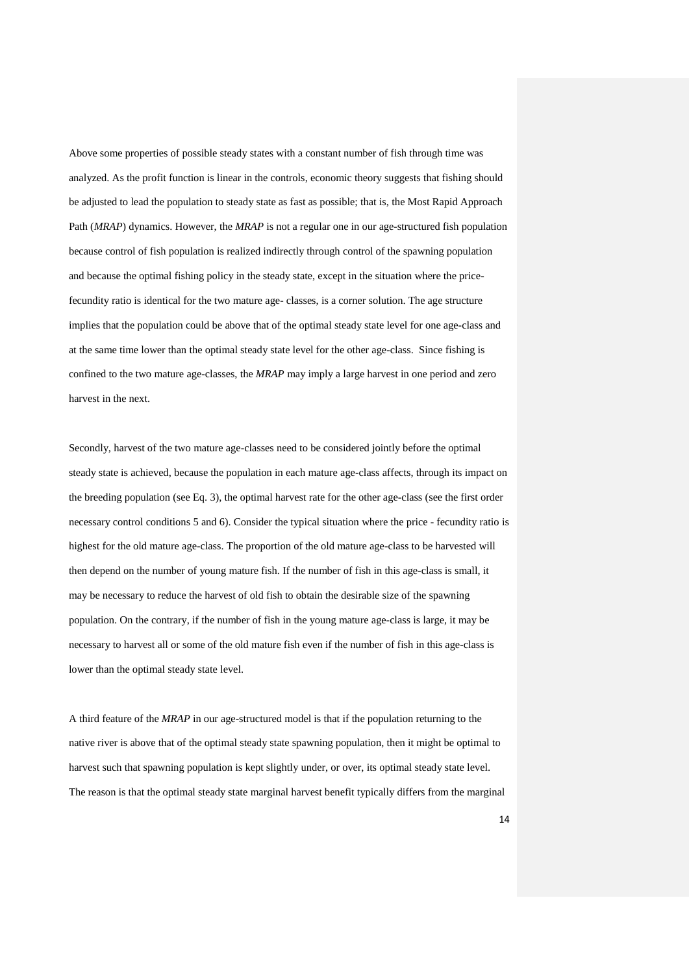Above some properties of possible steady states with a constant number of fish through time was analyzed. As the profit function is linear in the controls, economic theory suggests that fishing should be adjusted to lead the population to steady state as fast as possible; that is, the Most Rapid Approach Path (*MRAP*) dynamics. However, the *MRAP* is not a regular one in our age-structured fish population because control of fish population is realized indirectly through control of the spawning population and because the optimal fishing policy in the steady state, except in the situation where the pricefecundity ratio is identical for the two mature age- classes, is a corner solution. The age structure implies that the population could be above that of the optimal steady state level for one age-class and at the same time lower than the optimal steady state level for the other age-class. Since fishing is confined to the two mature age-classes, the *MRAP* may imply a large harvest in one period and zero harvest in the next.

Secondly, harvest of the two mature age-classes need to be considered jointly before the optimal steady state is achieved, because the population in each mature age-class affects, through its impact on the breeding population (see Eq. 3), the optimal harvest rate for the other age-class (see the first order necessary control conditions 5 and 6). Consider the typical situation where the price - fecundity ratio is highest for the old mature age-class. The proportion of the old mature age-class to be harvested will then depend on the number of young mature fish. If the number of fish in this age-class is small, it may be necessary to reduce the harvest of old fish to obtain the desirable size of the spawning population. On the contrary, if the number of fish in the young mature age-class is large, it may be necessary to harvest all or some of the old mature fish even if the number of fish in this age-class is lower than the optimal steady state level.

A third feature of the *MRAP* in our age-structured model is that if the population returning to the native river is above that of the optimal steady state spawning population, then it might be optimal to harvest such that spawning population is kept slightly under, or over, its optimal steady state level. The reason is that the optimal steady state marginal harvest benefit typically differs from the marginal

14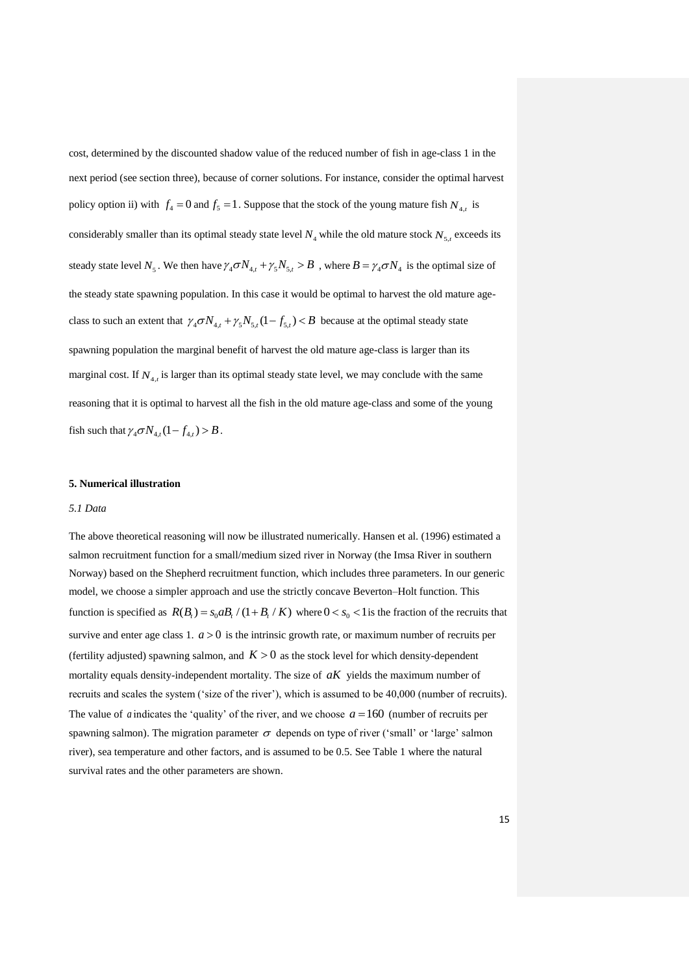cost, determined by the discounted shadow value of the reduced number of fish in age-class 1 in the next period (see section three), because of corner solutions. For instance, consider the optimal harvest policy option ii) with  $f_4 = 0$  and  $f_5 = 1$ . Suppose that the stock of the young mature fish  $N_{4,t}$  is considerably smaller than its optimal steady state level  $N_4$  while the old mature stock  $N_{5,t}$  exceeds its steady state level  $N_5$ . We then have  $\gamma_4 \sigma N_{4,t} + \gamma_5 N_{5,t} > B$ , where  $B = \gamma_4 \sigma N_4$  is the optimal size of the steady state spawning population. In this case it would be optimal to harvest the old mature ageclass to such an extent that  $\gamma_4 \sigma N_{4,t} + \gamma_5 N_{5,t} (1 - f_{5,t}) < B$  because at the optimal steady state spawning population the marginal benefit of harvest the old mature age-class is larger than its marginal cost. If  $N_{4,t}$  is larger than its optimal steady state level, we may conclude with the same reasoning that it is optimal to harvest all the fish in the old mature age-class and some of the young fish such that  $\gamma_4 \sigma N_{4,t} (1 - f_{4,t}) > B$ .

#### **5. Numerical illustration**

#### *5.1 Data*

The above theoretical reasoning will now be illustrated numerically. Hansen et al. (1996) estimated a salmon recruitment function for a small/medium sized river in Norway (the Imsa River in southern Norway) based on the Shepherd recruitment function, which includes three parameters. In our generic model, we choose a simpler approach and use the strictly concave Beverton–Holt function. This function is specified as  $R(B_t) = s_0 a B_t / (1 + B_t / K)$  where  $0 < s_0 < 1$  is the fraction of the recruits that survive and enter age class 1.  $a > 0$  is the intrinsic growth rate, or maximum number of recruits per (fertility adjusted) spawning salmon, and  $K > 0$  as the stock level for which density-dependent mortality equals density-independent mortality. The size of *aK* yields the maximum number of recruits and scales the system ('size of the river'), which is assumed to be 40,000 (number of recruits). The value of *a* indicates the 'quality' of the river, and we choose  $a = 160$  (number of recruits per spawning salmon). The migration parameter  $\sigma$  depends on type of river ('small' or 'large' salmon river), sea temperature and other factors, and is assumed to be 0.5. See Table 1 where the natural survival rates and the other parameters are shown.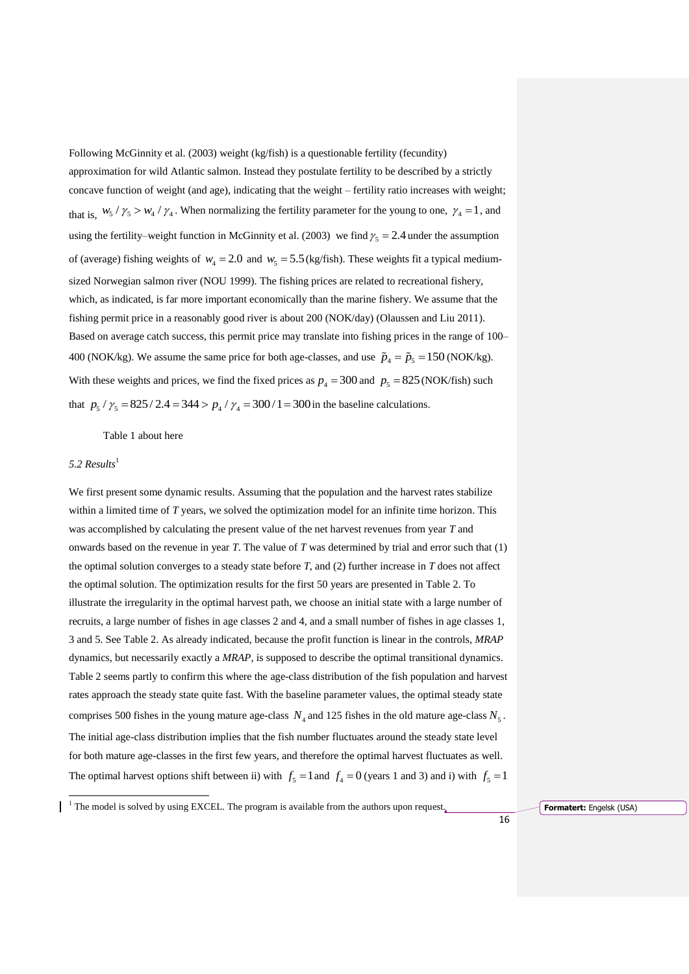Following McGinnity et al. (2003) weight (kg/fish) is a questionable fertility (fecundity) approximation for wild Atlantic salmon. Instead they postulate fertility to be described by a strictly concave function of weight (and age), indicating that the weight – fertility ratio increases with weight; that is,  $w_5 / \gamma_5 > w_4 / \gamma_4$ . When normalizing the fertility parameter for the young to one,  $\gamma_4 = 1$ , and using the fertility–weight function in McGinnity et al. (2003) we find  $\gamma_5 = 2.4$  under the assumption of (average) fishing weights of  $w_4 = 2.0$  and  $w_5 = 5.5$  (kg/fish). These weights fit a typical mediumsized Norwegian salmon river (NOU 1999). The fishing prices are related to recreational fishery, which, as indicated, is far more important economically than the marine fishery. We assume that the fishing permit price in a reasonably good river is about 200 (NOK/day) (Olaussen and Liu 2011). Based on average catch success, this permit price may translate into fishing prices in the range of 100– 400 (NOK/kg). We assume the same price for both age-classes, and use  $\tilde{p}_4 = \tilde{p}_5 = 150$  (NOK/kg). With these weights and prices, we find the fixed prices as  $p_4 = 300$  and  $p_5 = 825$  (NOK/fish) such With these weights and prices, we find the fixed prices as  $p_4 = 300$  and  $p_5 = 825$  (N<br>that  $p_5 / \gamma_5 = 825 / 2.4 = 344 > p_4 / \gamma_4 = 300 / 1 = 300$  in the baseline calculations.

Table 1 about here

## *5.2 Results*<sup>1</sup>

We first present some dynamic results. Assuming that the population and the harvest rates stabilize within a limited time of *T* years, we solved the optimization model for an infinite time horizon. This was accomplished by calculating the present value of the net harvest revenues from year *T* and onwards based on the revenue in year *T*. The value of *T* was determined by trial and error such that (1) the optimal solution converges to a steady state before *T*, and (2) further increase in *T* does not affect the optimal solution. The optimization results for the first 50 years are presented in Table 2. To illustrate the irregularity in the optimal harvest path, we choose an initial state with a large number of recruits, a large number of fishes in age classes 2 and 4, and a small number of fishes in age classes 1, 3 and 5. See Table 2. As already indicated, because the profit function is linear in the controls, *MRAP* dynamics, but necessarily exactly a *MRAP*, is supposed to describe the optimal transitional dynamics. Table 2 seems partly to confirm this where the age-class distribution of the fish population and harvest rates approach the steady state quite fast. With the baseline parameter values, the optimal steady state comprises 500 fishes in the young mature age-class  $N_4$  and 125 fishes in the old mature age-class  $N_5$ . The initial age-class distribution implies that the fish number fluctuates around the steady state level for both mature age-classes in the first few years, and therefore the optimal harvest fluctuates as well. The optimal harvest options shift between ii) with  $f_5 = 1$  and  $f_4 = 0$  (years 1 and 3) and i) with  $f_5 = 1$ 

The model is solved by using EXCEL. The program is available from the authors upon request. **Formatert:** Engelsk (USA)

16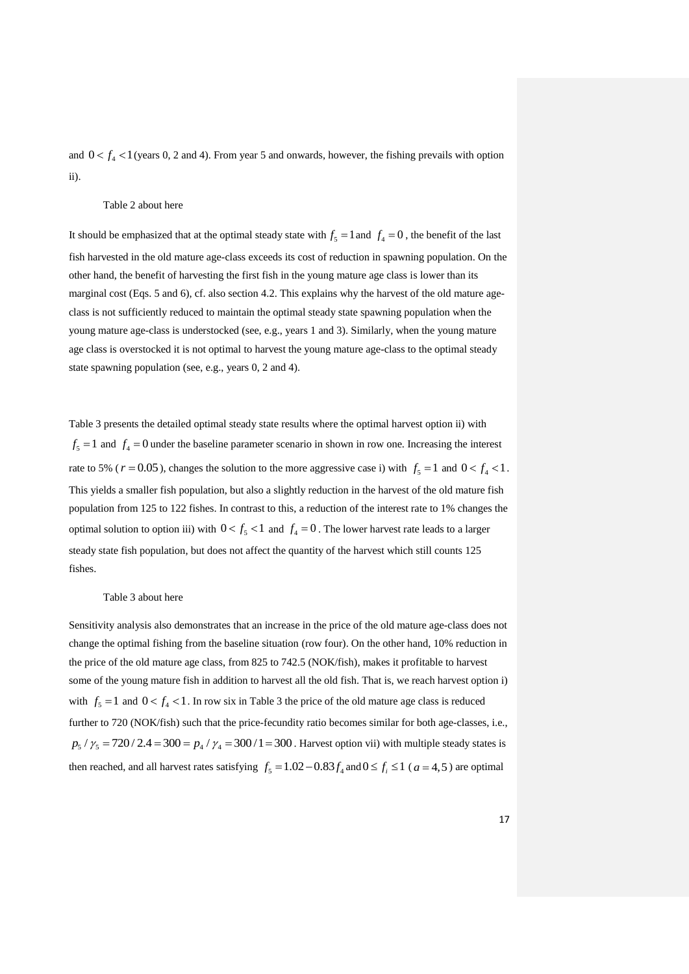and  $0 < f_4 < 1$  (years 0, 2 and 4). From year 5 and onwards, however, the fishing prevails with option ii).

#### Table 2 about here

It should be emphasized that at the optimal steady state with  $f_5 = 1$  and  $f_4 = 0$ , the benefit of the last fish harvested in the old mature age-class exceeds its cost of reduction in spawning population. On the other hand, the benefit of harvesting the first fish in the young mature age class is lower than its marginal cost (Eqs. 5 and 6), cf. also section 4.2. This explains why the harvest of the old mature ageclass is not sufficiently reduced to maintain the optimal steady state spawning population when the young mature age-class is understocked (see, e.g., years 1 and 3). Similarly, when the young mature age class is overstocked it is not optimal to harvest the young mature age-class to the optimal steady state spawning population (see, e.g., years 0, 2 and 4).

Table 3 presents the detailed optimal steady state results where the optimal harvest option ii) with  $f_5 = 1$  and  $f_4 = 0$  under the baseline parameter scenario in shown in row one. Increasing the interest rate to 5% ( $r = 0.05$ ), changes the solution to the more aggressive case i) with  $f_5 = 1$  and  $0 < f_4 < 1$ . This yields a smaller fish population, but also a slightly reduction in the harvest of the old mature fish population from 125 to 122 fishes. In contrast to this, a reduction of the interest rate to 1% changes the optimal solution to option iii) with  $0 < f<sub>5</sub> < 1$  and  $f<sub>4</sub> = 0$ . The lower harvest rate leads to a larger steady state fish population, but does not affect the quantity of the harvest which still counts 125 fishes.

#### Table 3 about here

Sensitivity analysis also demonstrates that an increase in the price of the old mature age-class does not change the optimal fishing from the baseline situation (row four). On the other hand, 10% reduction in the price of the old mature age class, from 825 to 742.5 (NOK/fish), makes it profitable to harvest some of the young mature fish in addition to harvest all the old fish. That is, we reach harvest option i) with  $f_5 = 1$  and  $0 < f_4 < 1$ . In row six in Table 3 the price of the old mature age class is reduced further to 720 (NOK/fish) such that the price-fecundity ratio becomes similar for both age-classes, i.e., iurther to 720 (NOK/fish) such that the price-fecundity ratio becomes similar for both age-classes, i.e.,  $p_5 / \gamma_5 = 720 / 2.4 = 300 = p_4 / \gamma_4 = 300 / 1 = 300$ . Harvest option vii) with multiple steady states is then reached, and all harvest rates satisfying  $f_5 = 1.02 - 0.83 f_4$  and  $0 \le f_i \le 1$  ( $a = 4.5$ ) are optimal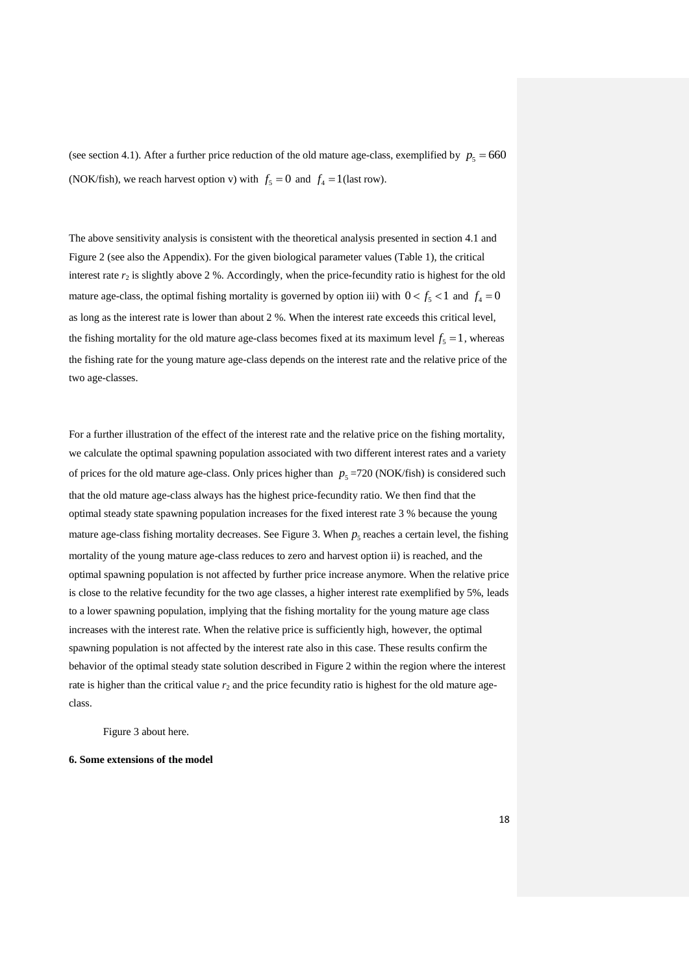(see section 4.1). After a further price reduction of the old mature age-class, exemplified by  $p_5 = 660$ (NOK/fish), we reach harvest option v) with  $f_5 = 0$  and  $f_4 = 1$  (last row).

The above sensitivity analysis is consistent with the theoretical analysis presented in section 4.1 and Figure 2 (see also the Appendix). For the given biological parameter values (Table 1), the critical interest rate  $r_2$  is slightly above 2 %. Accordingly, when the price-fecundity ratio is highest for the old mature age-class, the optimal fishing mortality is governed by option iii) with  $0 < f<sub>5</sub> < 1$  and  $f<sub>4</sub> = 0$ as long as the interest rate is lower than about 2 %. When the interest rate exceeds this critical level, the fishing mortality for the old mature age-class becomes fixed at its maximum level  $f_5 = 1$ , whereas the fishing rate for the young mature age-class depends on the interest rate and the relative price of the two age-classes.

For a further illustration of the effect of the interest rate and the relative price on the fishing mortality, we calculate the optimal spawning population associated with two different interest rates and a variety of prices for the old mature age-class. Only prices higher than  $p_5 = 720$  (NOK/fish) is considered such that the old mature age-class always has the highest price-fecundity ratio. We then find that the optimal steady state spawning population increases for the fixed interest rate 3 % because the young mature age-class fishing mortality decreases. See Figure 3. When  $p<sub>5</sub>$  reaches a certain level, the fishing mortality of the young mature age-class reduces to zero and harvest option ii) is reached, and the optimal spawning population is not affected by further price increase anymore. When the relative price is close to the relative fecundity for the two age classes, a higher interest rate exemplified by 5%, leads to a lower spawning population, implying that the fishing mortality for the young mature age class increases with the interest rate. When the relative price is sufficiently high, however, the optimal spawning population is not affected by the interest rate also in this case. These results confirm the behavior of the optimal steady state solution described in Figure 2 within the region where the interest rate is higher than the critical value  $r<sub>2</sub>$  and the price fecundity ratio is highest for the old mature ageclass.

Figure 3 about here.

### **6. Some extensions of the model**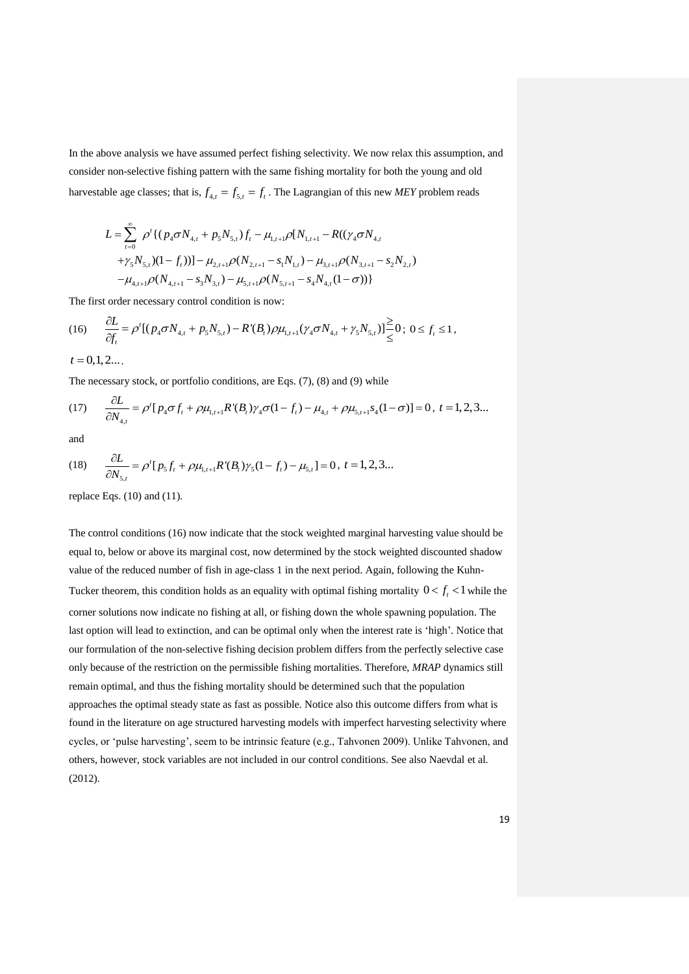In the above analysis we have assumed perfect fishing selectivity. We now relax this assumption, and consider non-selective fishing pattern with the same fishing mortality for both the young and old

harvestable age classes; that is, 
$$
f_{4,t} = f_{5,t} = f_t
$$
. The Lagrangian of this new *MEY* problem reads  
\n
$$
L = \sum_{t=0}^{\infty} \rho' \{ (p_4 \sigma N_{4,t} + p_5 N_{5,t}) f_t - \mu_{1,t+1} \rho [N_{1,t+1} - R((\gamma_4 \sigma N_{4,t} + \gamma_5 N_{5,t})(1 - f_t))] - \mu_{2,t+1} \rho (N_{2,t+1} - s_1 N_{1,t}) - \mu_{3,t+1} \rho (N_{3,t+1} - s_2 N_{2,t}) - \mu_{4,t+1} \rho (N_{4,t+1} - s_3 N_{3,t}) - \mu_{5,t+1} \rho (N_{5,t+1} - s_4 N_{4,t} (1 - \sigma)) \}
$$

The first order necessary control condition is now:  
\n
$$
\frac{\partial L}{\partial f_t} = \rho' [(p_4 \sigma N_{4,t} + p_5 N_{5,t}) - R'(B_t) \rho \mu_{1,t+1} (\gamma_4 \sigma N_{4,t} + \gamma_5 N_{5,t})] \leq 0; 0 \leq f_t \leq 1,
$$

 $t = 0, 1, 2...$ 

The necessary stock, or portfolio conditions, are Eqs. (7), (8) and (9) while

The necessary stock, or portfolio conditions, are Eqs. (7), (8) and (9) while  
\n(17) 
$$
\frac{\partial L}{\partial N_{4,t}} = \rho' [p_4 \sigma f_t + \rho \mu_{1,t+1} R'(B_t) \gamma_4 \sigma (1 - f_t) - \mu_{4,t} + \rho \mu_{5,t+1} s_4 (1 - \sigma)] = 0, \ t = 1, 2, 3...
$$

and

and  
\n(18) 
$$
\frac{\partial L}{\partial N_{5,t}} = \rho^t [p_5 f_t + \rho \mu_{1,t+1} R^t(B_t) \gamma_5 (1 - f_t) - \mu_{5,t}] = 0, \ t = 1, 2, 3...
$$

replace Eqs.  $(10)$  and  $(11)$ .

The control conditions (16) now indicate that the stock weighted marginal harvesting value should be equal to, below or above its marginal cost, now determined by the stock weighted discounted shadow value of the reduced number of fish in age-class 1 in the next period. Again, following the Kuhn-Tucker theorem, this condition holds as an equality with optimal fishing mortality  $0 < f_t < 1$  while the corner solutions now indicate no fishing at all, or fishing down the whole spawning population. The last option will lead to extinction, and can be optimal only when the interest rate is 'high'. Notice that our formulation of the non-selective fishing decision problem differs from the perfectly selective case only because of the restriction on the permissible fishing mortalities. Therefore, *MRAP* dynamics still remain optimal, and thus the fishing mortality should be determined such that the population approaches the optimal steady state as fast as possible. Notice also this outcome differs from what is found in the literature on age structured harvesting models with imperfect harvesting selectivity where cycles, or 'pulse harvesting', seem to be intrinsic feature (e.g., Tahvonen 2009). Unlike Tahvonen, and others, however, stock variables are not included in our control conditions. See also Naevdal et al. (2012).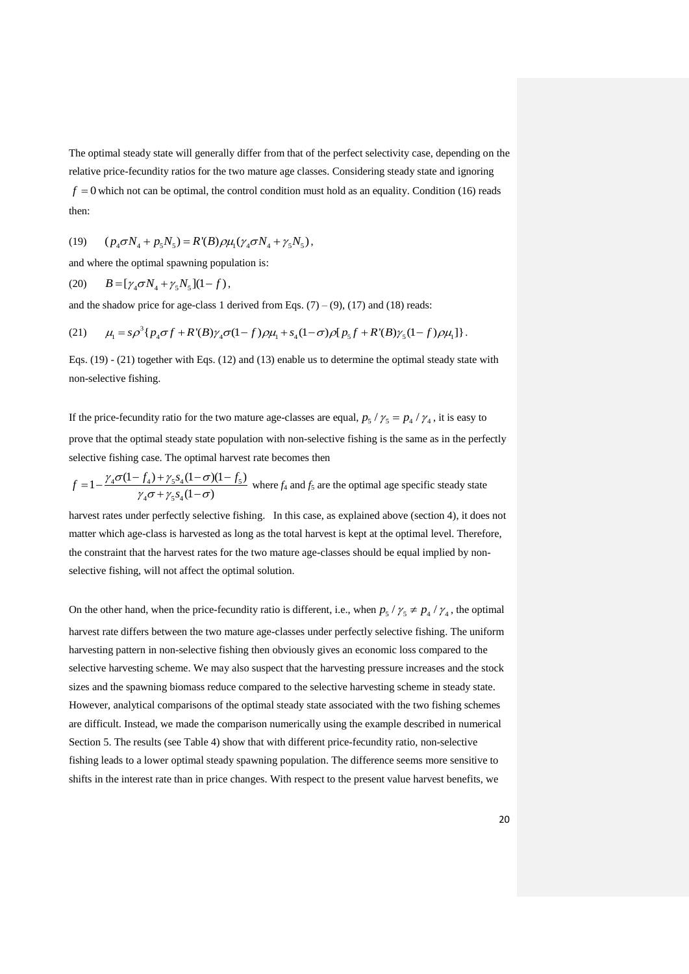The optimal steady state will generally differ from that of the perfect selectivity case, depending on the relative price-fecundity ratios for the two mature age classes. Considering steady state and ignoring  $f = 0$  which not can be optimal, the control condition must hold as an equality. Condition (16) reads then:

(19)  $(p_4 \sigma N_4 + p_5 N_5) = R'(B) \rho \mu_1 (\gamma_4 \sigma N_4 + \gamma_5 N_5),$ 

and where the optimal spawning population is:

(20) 
$$
B = [\gamma_4 \sigma N_4 + \gamma_5 N_5](1 - f),
$$

and the shadow price for age-class 1 derived from Eqs.  $(7) - (9)$ ,  $(17)$  and  $(18)$  reads:

and the shadow price for age-class 1 derived from Eqs. (7) – (9), (17) and (18) reads:  
\n(21) 
$$
\mu_1 = s\rho^3 \{p_4 \sigma f + R'(B)\gamma_4 \sigma (1-f)\rho \mu_1 + s_4(1-\sigma)\rho [p_5 f + R'(B)\gamma_5(1-f)\rho \mu_1] \}.
$$

Eqs. (19) - (21) together with Eqs. (12) and (13) enable us to determine the optimal steady state with non-selective fishing.

If the price-fecundity ratio for the two mature age-classes are equal,  $p_5 / \gamma_5 = p_4 / \gamma_4$ , it is easy to prove that the optimal steady state population with non-selective fishing is the same as in the perfectly

selective fishing case. The optimal harvest rate becomes then  
\n
$$
f = 1 - \frac{\gamma_4 \sigma (1 - f_4) + \gamma_5 s_4 (1 - \sigma)(1 - f_5)}{\gamma_4 \sigma + \gamma_5 s_4 (1 - \sigma)}
$$
 where  $f_4$  and  $f_5$  are the optimal age specific steady state

harvest rates under perfectly selective fishing. In this case, as explained above (section 4), it does not matter which age-class is harvested as long as the total harvest is kept at the optimal level. Therefore, the constraint that the harvest rates for the two mature age-classes should be equal implied by nonselective fishing, will not affect the optimal solution.

On the other hand, when the price-fecundity ratio is different, i.e., when  $p_5 / \gamma_5 \neq p_4 / \gamma_4$ , the optimal harvest rate differs between the two mature age-classes under perfectly selective fishing. The uniform harvesting pattern in non-selective fishing then obviously gives an economic loss compared to the selective harvesting scheme. We may also suspect that the harvesting pressure increases and the stock sizes and the spawning biomass reduce compared to the selective harvesting scheme in steady state. However, analytical comparisons of the optimal steady state associated with the two fishing schemes are difficult. Instead, we made the comparison numerically using the example described in numerical Section 5. The results (see Table 4) show that with different price-fecundity ratio, non-selective fishing leads to a lower optimal steady spawning population. The difference seems more sensitive to shifts in the interest rate than in price changes. With respect to the present value harvest benefits, we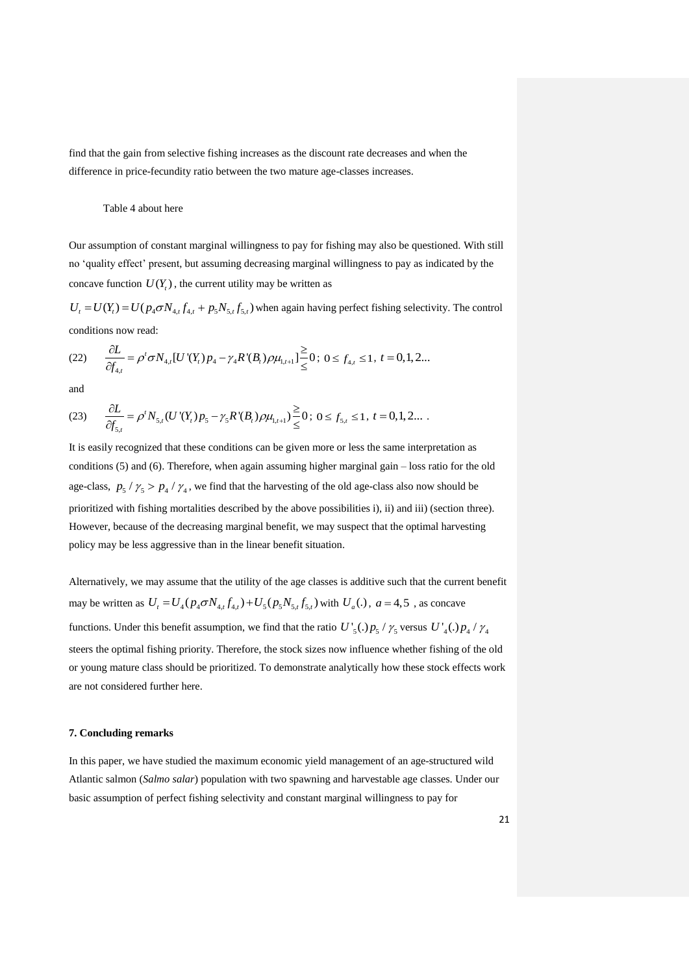find that the gain from selective fishing increases as the discount rate decreases and when the difference in price-fecundity ratio between the two mature age-classes increases.

## Table 4 about here

Our assumption of constant marginal willingness to pay for fishing may also be questioned. With still no 'quality effect' present, but assuming decreasing marginal willingness to pay as indicated by the concave function  $U(Y_t)$ , the current utility may be written as

 $U_t = U(Y_t) = U(p_4 \sigma N_{4,t} f_{4,t} + p_5 N_{5,t} f_{5,t})$  when again having perfect fishing selectivity. The control conditions now read:

conditions now read:  
\n(22) 
$$
\frac{\partial L}{\partial f_{4,t}} = \rho^t \sigma N_{4,t} [U'(Y_t) p_4 - \gamma_4 R'(B_t) \rho \mu_{1,t+1}] \leq 0; 0 \leq f_{4,t} \leq 1, t = 0,1,2...
$$

and

and  
(23) 
$$
\frac{\partial L}{\partial f_{5,t}} = \rho^t N_{5,t} (U'(Y_t) p_5 - \gamma_5 R'(B_t) \rho \mu_{1,t+1}) \leq 0; \ 0 \leq f_{5,t} \leq 1, \ t = 0, 1, 2... .
$$

It is easily recognized that these conditions can be given more or less the same interpretation as conditions (5) and (6). Therefore, when again assuming higher marginal gain – loss ratio for the old age-class,  $p_5 / \gamma_5 > p_4 / \gamma_4$ , we find that the harvesting of the old age-class also now should be prioritized with fishing mortalities described by the above possibilities i), ii) and iii) (section three). However, because of the decreasing marginal benefit, we may suspect that the optimal harvesting policy may be less aggressive than in the linear benefit situation.

Alternatively, we may assume that the utility of the age classes is additive such that the current benefit Alternatively, we may assume that the utility of the age classes is additive such that the current may be written as  $U_t = U_4 (p_4 \sigma N_{4,t} f_{4,t}) + U_5 (p_5 N_{5,t} f_{5,t})$  with  $U_a(.)$ ,  $a = 4.5$ , as concave functions. Under this benefit assumption, we find that the ratio  $U'_5$ .)  $p_5 / \gamma_5$  versus  $U'_4$ .)  $p_4 / \gamma_4$ steers the optimal fishing priority. Therefore, the stock sizes now influence whether fishing of the old or young mature class should be prioritized. To demonstrate analytically how these stock effects work are not considered further here.

#### **7. Concluding remarks**

In this paper, we have studied the maximum economic yield management of an age-structured wild Atlantic salmon (*Salmo salar*) population with two spawning and harvestable age classes. Under our basic assumption of perfect fishing selectivity and constant marginal willingness to pay for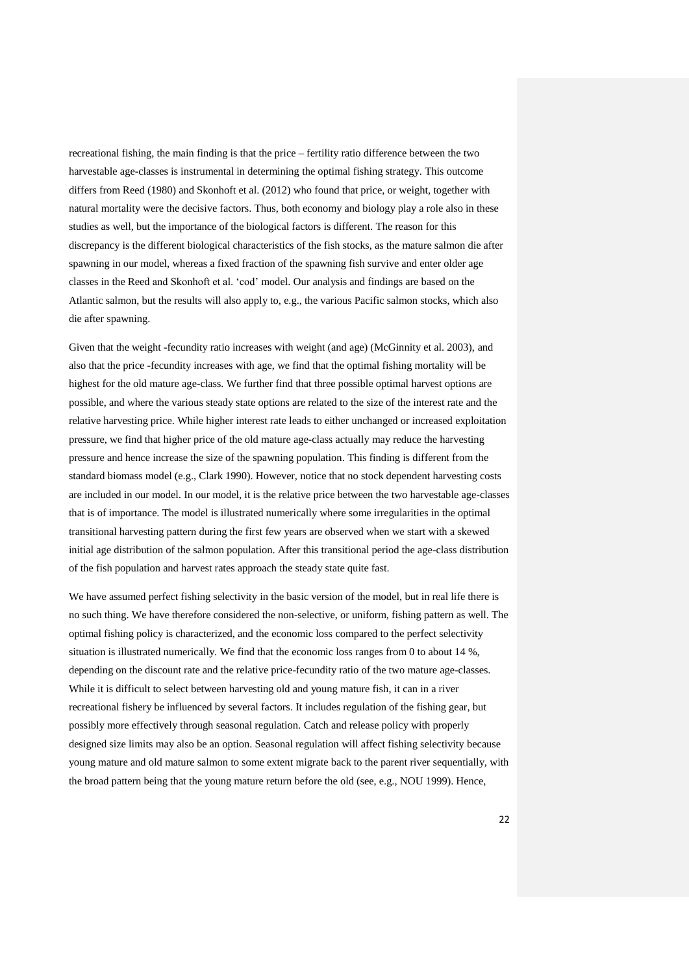recreational fishing, the main finding is that the price – fertility ratio difference between the two harvestable age-classes is instrumental in determining the optimal fishing strategy. This outcome differs from Reed (1980) and Skonhoft et al. (2012) who found that price, or weight, together with natural mortality were the decisive factors. Thus, both economy and biology play a role also in these studies as well, but the importance of the biological factors is different. The reason for this discrepancy is the different biological characteristics of the fish stocks, as the mature salmon die after spawning in our model, whereas a fixed fraction of the spawning fish survive and enter older age classes in the Reed and Skonhoft et al. 'cod' model. Our analysis and findings are based on the Atlantic salmon, but the results will also apply to, e.g., the various Pacific salmon stocks, which also die after spawning.

Given that the weight -fecundity ratio increases with weight (and age) (McGinnity et al. 2003), and also that the price -fecundity increases with age, we find that the optimal fishing mortality will be highest for the old mature age-class. We further find that three possible optimal harvest options are possible, and where the various steady state options are related to the size of the interest rate and the relative harvesting price. While higher interest rate leads to either unchanged or increased exploitation pressure, we find that higher price of the old mature age-class actually may reduce the harvesting pressure and hence increase the size of the spawning population. This finding is different from the standard biomass model (e.g., Clark 1990). However, notice that no stock dependent harvesting costs are included in our model. In our model, it is the relative price between the two harvestable age-classes that is of importance. The model is illustrated numerically where some irregularities in the optimal transitional harvesting pattern during the first few years are observed when we start with a skewed initial age distribution of the salmon population. After this transitional period the age-class distribution of the fish population and harvest rates approach the steady state quite fast.

We have assumed perfect fishing selectivity in the basic version of the model, but in real life there is no such thing. We have therefore considered the non-selective, or uniform, fishing pattern as well. The optimal fishing policy is characterized, and the economic loss compared to the perfect selectivity situation is illustrated numerically. We find that the economic loss ranges from 0 to about 14 %, depending on the discount rate and the relative price-fecundity ratio of the two mature age-classes. While it is difficult to select between harvesting old and young mature fish, it can in a river recreational fishery be influenced by several factors. It includes regulation of the fishing gear, but possibly more effectively through seasonal regulation. Catch and release policy with properly designed size limits may also be an option. Seasonal regulation will affect fishing selectivity because young mature and old mature salmon to some extent migrate back to the parent river sequentially, with the broad pattern being that the young mature return before the old (see, e.g., NOU 1999). Hence,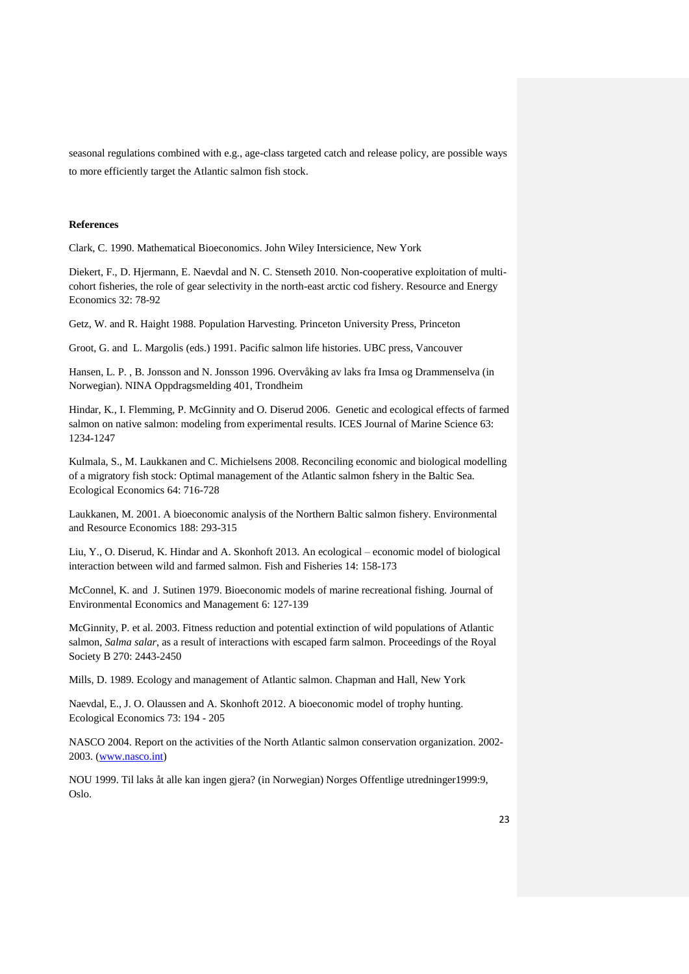seasonal regulations combined with e.g., age-class targeted catch and release policy, are possible ways to more efficiently target the Atlantic salmon fish stock.

## **References**

Clark, C. 1990. Mathematical Bioeconomics. John Wiley Intersicience, New York

Diekert, F., D. Hjermann, E. Naevdal and N. C. Stenseth 2010. Non-cooperative exploitation of multicohort fisheries, the role of gear selectivity in the north-east arctic cod fishery. Resource and Energy Economics 32: 78-92

Getz, W. and R. Haight 1988. Population Harvesting. Princeton University Press, Princeton

Groot, G. and L. Margolis (eds.) 1991. Pacific salmon life histories. UBC press, Vancouver

Hansen, L. P. , B. Jonsson and N. Jonsson 1996. Overvåking av laks fra Imsa og Drammenselva (in Norwegian). NINA Oppdragsmelding 401, Trondheim

Hindar, K., I. Flemming, P. McGinnity and O. Diserud 2006. Genetic and ecological effects of farmed salmon on native salmon: modeling from experimental results. ICES Journal of Marine Science 63: 1234-1247

Kulmala, S., M. Laukkanen and C. Michielsens 2008. Reconciling economic and biological modelling of a migratory fish stock: Optimal management of the Atlantic salmon fshery in the Baltic Sea. Ecological Economics 64: 716-728

Laukkanen, M. 2001. A bioeconomic analysis of the Northern Baltic salmon fishery. Environmental and Resource Economics 188: 293-315

Liu, Y., O. Diserud, K. Hindar and A. Skonhoft 2013. An ecological – economic model of biological interaction between wild and farmed salmon. Fish and Fisheries 14: 158-173

McConnel, K. and J. Sutinen 1979. Bioeconomic models of marine recreational fishing. Journal of Environmental Economics and Management 6: 127-139

McGinnity, P. et al. 2003. Fitness reduction and potential extinction of wild populations of Atlantic salmon, *Salma salar*, as a result of interactions with escaped farm salmon. Proceedings of the Royal Society B 270: 2443-2450

Mills, D. 1989. Ecology and management of Atlantic salmon. Chapman and Hall, New York

Naevdal, E., J. O. Olaussen and A. Skonhoft 2012. A bioeconomic model of trophy hunting. Ecological Economics 73: 194 - 205

NASCO 2004. Report on the activities of the North Atlantic salmon conservation organization. 2002- 2003. [\(www.nasco.int\)](http://www.nasco.int/)

NOU 1999. Til laks åt alle kan ingen gjera? (in Norwegian) Norges Offentlige utredninger1999:9, Oslo.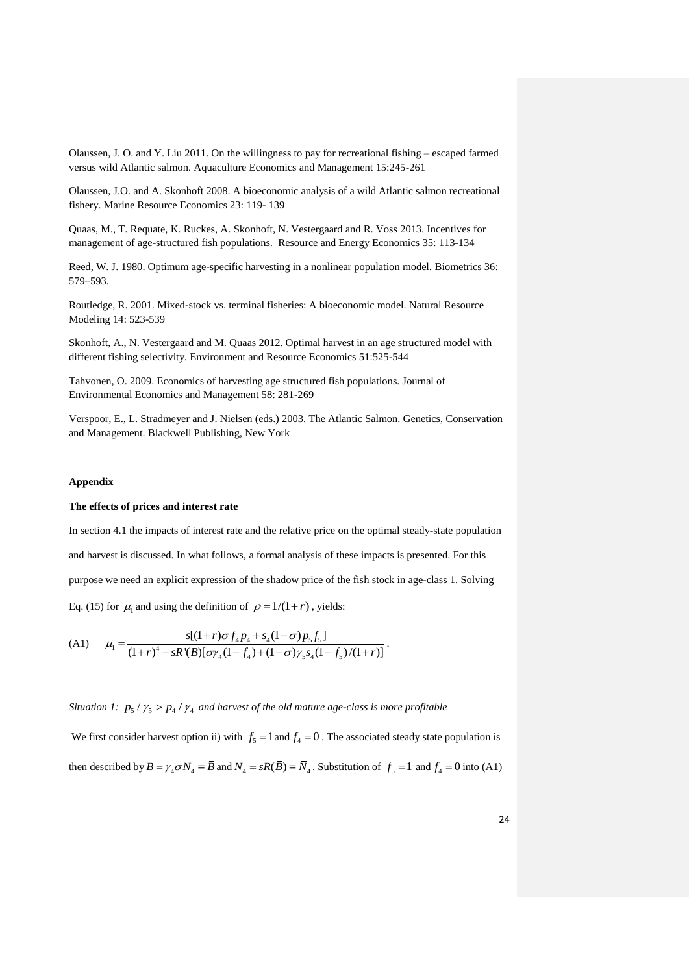Olaussen, J. O. and Y. Liu 2011. On the willingness to pay for recreational fishing – escaped farmed versus wild Atlantic salmon. Aquaculture Economics and Management 15:245-261

Olaussen, J.O. and A. Skonhoft 2008. A bioeconomic analysis of a wild Atlantic salmon recreational fishery. Marine Resource Economics 23: 119- 139

Quaas, M., T. Requate, K. Ruckes, A. Skonhoft, N. Vestergaard and R. Voss 2013. Incentives for management of age-structured fish populations. Resource and Energy Economics 35: 113-134

Reed, W. J. 1980. Optimum age-specific harvesting in a nonlinear population model. Biometrics 36: 579–593.

Routledge, R. 2001. Mixed-stock vs. terminal fisheries: A bioeconomic model. Natural Resource Modeling 14: 523-539

Skonhoft, A., N. Vestergaard and M. Quaas 2012. Optimal harvest in an age structured model with different fishing selectivity. Environment and Resource Economics 51:525-544

Tahvonen, O. 2009. Economics of harvesting age structured fish populations. Journal of Environmental Economics and Management 58: 281-269

Verspoor, E., L. Stradmeyer and J. Nielsen (eds.) 2003. The Atlantic Salmon. Genetics, Conservation and Management. Blackwell Publishing, New York

#### **Appendix**

## **The effects of prices and interest rate**

In section 4.1 the impacts of interest rate and the relative price on the optimal steady-state population and harvest is discussed. In what follows, a formal analysis of these impacts is presented. For this purpose we need an explicit expression of the shadow price of the fish stock in age-class 1. Solving

Eq. (15) for 
$$
\mu_1
$$
 and using the definition of  $\rho = 1/(1+r)$ , yields:  
\n(A1) 
$$
\mu_1 = \frac{s[(1+r)\sigma f_4 p_4 + s_4(1-\sigma) p_5 f_5]}{(1+r)^4 - sR'(B)[\sigma \gamma_4(1-f_4) + (1-\sigma) \gamma_5 s_4(1-f_5)/(1+r)]}.
$$

*Situation 1:*  $p_5 / \gamma_5 > p_4 / \gamma_4$  and harvest of the old mature age-class is more profitable

We first consider harvest option ii) with  $f_5 = 1$  and  $f_4 = 0$ . The associated steady state population is then described by  $B = \gamma_4 \sigma N_4 \equiv \overline{B}$  and  $N_4 = sR(\overline{B}) \equiv \overline{N}_4$ . Substitution of  $f_5 = 1$  and  $f_4 = 0$  into (A1)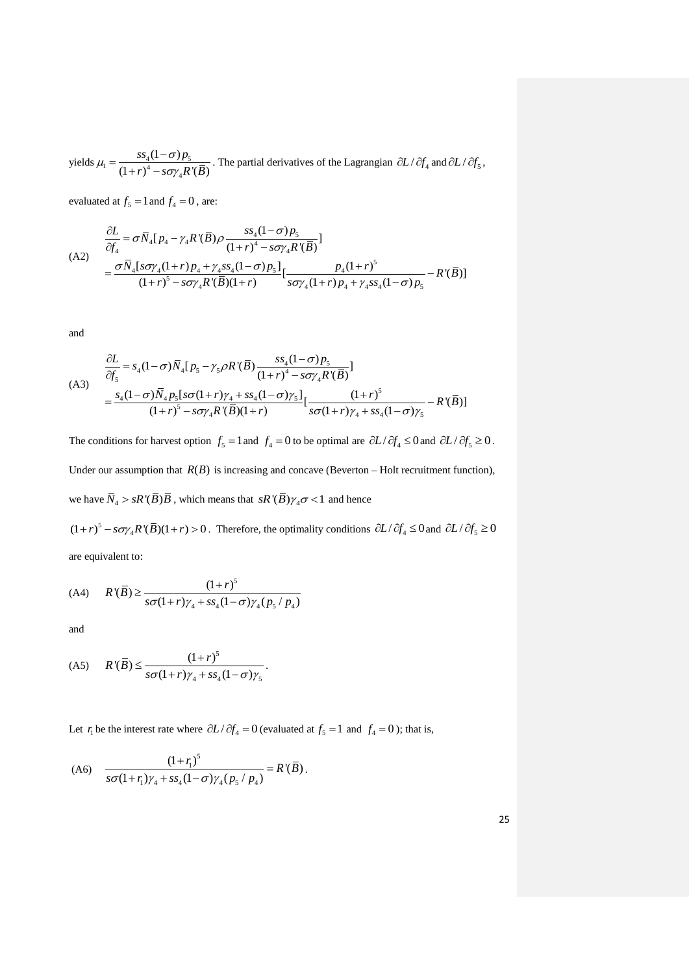yields  $\mu_1 = \frac{ss_4(1-\sigma)p_5}{(1+r)^4 - s\sigma\gamma_4 R}$  $(1 - \sigma)$  $\frac{4}{(1+r)^4 - s\sigma\gamma_4 R'(\overline{B})}$  $ss_{4}(1-\sigma)p_{\frac{3}{2}}$  $\mu_1 = \frac{ss_4(1-\sigma)p_5}{(1+r)^4 - s\sigma\gamma_4 R'(\overline{B})}$  $=\frac{ss_4(1-\sigma)p_5}{(1+r)^4 - s\sigma\gamma_4 R'(\overline{B})}$ . The partial derivatives of the Lagrangian  $\partial L/\partial f_4$  and  $\partial L/\partial f_5$ ,

evaluated at  $f_5 = 1$  and  $f_4 = 0$ , are:

evaluated at 
$$
f_5 = 1
$$
 and  $f_4 = 0$ , are:  
\n
$$
\frac{\partial L}{\partial f_4} = \sigma \overline{N}_4 [p_4 - \gamma_4 R'(\overline{B}) \rho \frac{ss_4 (1-\sigma) p_5}{(1+r)^4 - s \sigma \gamma_4 R'(\overline{B})}]
$$
\n(A2)  
\n
$$
= \frac{\sigma \overline{N}_4 [s \sigma \gamma_4 (1+r) p_4 + \gamma_4 ss_4 (1-\sigma) p_5]}{(1+r)^5 - s \sigma \gamma_4 R'(\overline{B}) (1+r)} [\frac{p_4 (1+r)^5}{s \sigma \gamma_4 (1+r) p_4 + \gamma_4 ss_4 (1-\sigma) p_5} - R'(\overline{B})]
$$

and

and  
\n
$$
\frac{\partial L}{\partial f_5} = s_4 (1 - \sigma) \overline{N}_4 [p_5 - \gamma_5 \rho R'(\overline{B}) \frac{ss_4 (1 - \sigma) p_5}{(1 + r)^4 - s \sigma \gamma_4 R'(\overline{B})}]
$$
\n
$$
= \frac{s_4 (1 - \sigma) \overline{N}_4 p_5 [s \sigma (1 + r) \gamma_4 + ss_4 (1 - \sigma) \gamma_5]}{(1 + r)^5 - s \sigma \gamma_4 R'(\overline{B}) (1 + r)} [\frac{(1 + r)^5}{s \sigma (1 + r) \gamma_4 + ss_4 (1 - \sigma) \gamma_5} - R'(\overline{B})]
$$

The conditions for harvest option  $f_5 = 1$  and  $f_4 = 0$  to be optimal are  $\partial L / \partial f_4 \le 0$  and  $\partial L / \partial f_5 \ge 0$ . Under our assumption that  $R(B)$  is increasing and concave (Beverton – Holt recruitment function), we have  $\overline{N}_4 > sR'(\overline{B})\overline{B}$ , which means that  $sR'(\overline{B})\gamma_4\sigma < 1$  and hence  $(1+r)^5 - s\sigma\gamma_4 R'(\overline{B})(1+r) > 0$ . Therefore, the optimality conditions  $\partial L/\partial f_4 \leq 0$  and  $\partial L/\partial f_5 \geq 0$ 

are equivalent to:

(A4) 
$$
R'(\overline{B}) \ge \frac{(1+r)^5}{s\sigma(1+r)\gamma_4 + ss_4(1-\sigma)\gamma_4(p_5/p_4)}
$$

and

$$
(A5) \qquad R'(\overline{B}) \leq \frac{\left(1+r\right)^5}{s\sigma(1+r)\gamma_4 + ss_4(1-\sigma)\gamma_5}.
$$

Let  $r_1$  be the interest rate where  $\partial L / \partial f_4 = 0$  (evaluated at  $f_5 = 1$  and  $f_4 = 0$ ); that is,

(A6) 
$$
\frac{(1+r_1)^5}{s\sigma(1+r_1)\gamma_4 + ss_4(1-\sigma)\gamma_4(p_5/p_4)} = R'(\overline{B}).
$$

25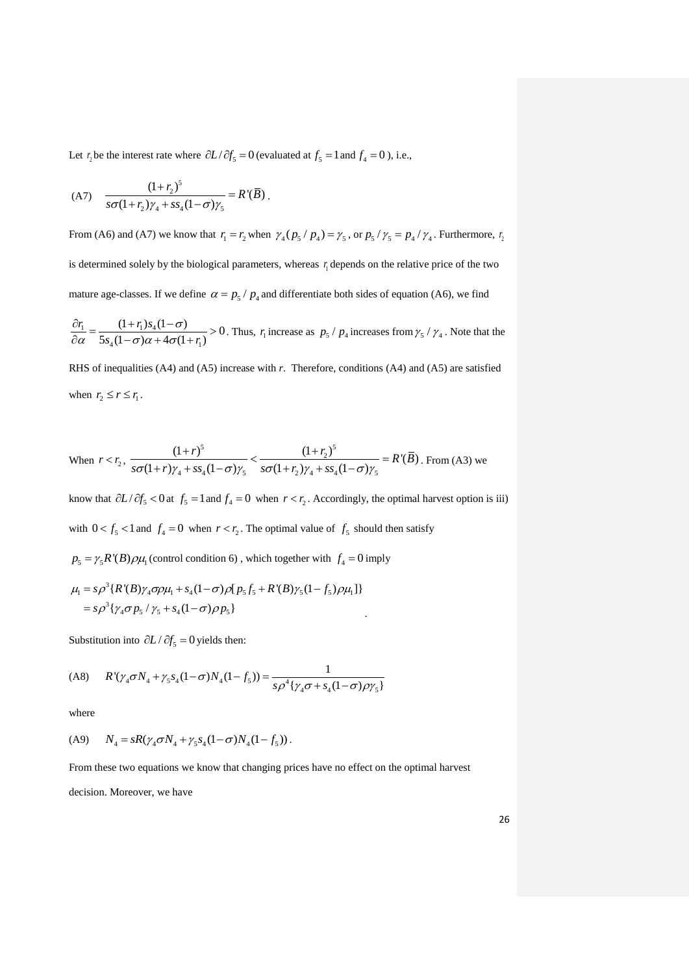Let  $r_2$  be the interest rate where  $\partial L / \partial f_5 = 0$  (evaluated at  $f_5 = 1$  and  $f_4 = 0$ ), i.e.,

(A7) 
$$
\frac{(1+r_2)^5}{s\sigma(1+r_2)\gamma_4 + ss_4(1-\sigma)\gamma_5} = R'(\overline{B})
$$

From (A6) and (A7) we know that  $r_1 = r_2$  when  $\gamma_4(p_5 / p_4) = \gamma_5$ , or  $p_5 / \gamma_5 = p_4 / \gamma_4$ . Furthermore,  $r_2$ is determined solely by the biological parameters, whereas  $r_i$  depends on the relative price of the two mature age-classes. If we define  $\alpha = p_s / p_4$  and differentiate both sides of equation (A6), we find

.

$$
\frac{\partial r_1}{\partial \alpha} = \frac{(1+r_1)s_4(1-\sigma)}{5s_4(1-\sigma)\alpha + 4\sigma(1+r_1)} > 0
$$
. Thus,  $r_1$  increase as  $p_5 / p_4$  increases from  $\gamma_5 / \gamma_4$ . Note that the

RHS of inequalities (A4) and (A5) increase with *r*. Therefore, conditions (A4) and (A5) are satisfied when  $r_2 \le r \le r_1$ .

When 
$$
r < r_2
$$
, 
$$
\frac{(1+r)^5}{s\sigma(1+r)\gamma_4 + ss_4(1-\sigma)\gamma_5} < \frac{(1+r_2)^5}{s\sigma(1+r_2)\gamma_4 + ss_4(1-\sigma)\gamma_5} = R'(\overline{B})
$$
. From (A3) we

know that  $\partial L / \partial f_5 < 0$  at  $f_5 = 1$  and  $f_4 = 0$  when  $r < r_2$ . Accordingly, the optimal harvest option is iii) with  $0 < f_5 < 1$  and  $f_4 = 0$  when  $r < r_2$ . The optimal value of  $f_5$  should then satisfy  $p_5 = \gamma_5 R'(B) \rho \mu_1$  (control condition 6), which together with  $f_4 = 0$  imply<br>  $\mu_1 = s \rho^3 \{R'(B) \gamma_4 \sigma \rho \mu_1 + s_4 (1 - \sigma) \rho [p_5 f_5 + R'(B) \gamma_5 (1 - f_5) \rho \mu_1] \}$ 3  $I_1 = s\rho^3 \{R'(B)\gamma_4\sigma\rho\mu_1 + s_4(1-\sigma)\rho[p_5f_5 + R'(B)\gamma_5(1-f_5)\rho\mu_1\}$  ${R'(B)\rho\mu_1}$  (control condition 6), which together with  $f_4 = 0$ <br>{ $R'(B)\gamma_4\sigma\rho\mu_1 + s_4(1-\sigma)\rho[p_5f_5 + R'(B)\gamma_5(1-f_5)\rho\mu_1]$ }  $\gamma_5 R'(B)\rho\mu_1$  (control condition 6), which together with<br>  $s\rho^3 \{R'(B)\gamma_4\sigma\rho\mu_1 + s_4(1-\sigma)\rho[p_5f_5 + R'(B)\gamma_5(1-f_5f_5 +B'(B)\gamma_5)]\}$ =  $\gamma_5 R'(B)\rho\mu_1$  (control condition 6), which together with  $f_4 = 0$ <br>=  $s\rho^3 \{R'(B)\gamma_4\sigma\rho\mu_1 + s_4(1-\sigma)\rho[p_5f_5 + R'(B)\gamma_5(1-f_5)\rho\mu_1]\}$ 

.

$$
\mu_1 = s\rho^3 \{ R'(B) \gamma_4 \sigma \rho \mu_1 + s_4 (1 - \sigma) \rho [p_5 f_5 + R'(B) \gamma_5 (1 - f_5) \rho \mu_5] \n= s\rho^3 \{ \gamma_4 \sigma p_5 / \gamma_5 + s_4 (1 - \sigma) \rho p_5 \}
$$

Substitution into 
$$
\partial L / \partial f_5 = 0
$$
 yields then:  
\n(A8)  $R'(\gamma_4 \sigma N_4 + \gamma_5 s_4 (1 - \sigma) N_4 (1 - f_5)) = \frac{1}{s \rho^4 {\gamma_4 \sigma + s_4 (1 - \sigma) \rho \gamma_5}}$ 

where

(A9) 
$$
N_4 = sR(\gamma_4 \sigma N_4 + \gamma_5 s_4 (1 - \sigma) N_4 (1 - f_5)).
$$

From these two equations we know that changing prices have no effect on the optimal harvest

decision. Moreover, we have

26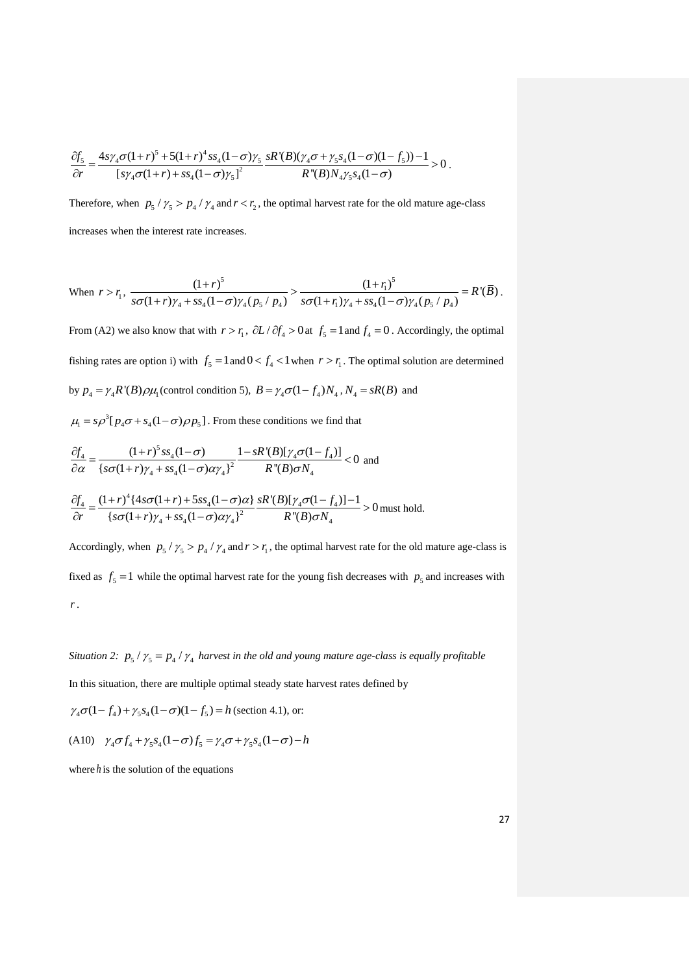$$
\frac{\partial f_s}{\partial r} = \frac{4s\gamma_4\sigma(1+r)^5 + 5(1+r)^4ss_4(1-\sigma)\gamma_5}{[s\gamma_4\sigma(1+r) + ss_4(1-\sigma)\gamma_5]^2} \frac{sR'(B)(\gamma_4\sigma + \gamma_5s_4(1-\sigma)(1-f_s)) - 1}{R''(B)N_4\gamma_5s_4(1-\sigma)} > 0.
$$

Therefore, when  $p_5 / \gamma_5 > p_4 / \gamma_4$  and  $r < r_2$ , the optimal harvest rate for the old mature age-class increases when the interest rate increases.

When 
$$
r > r_1
$$
, 
$$
\frac{(1+r)^5}{s\sigma(1+r)\gamma_4 + ss_4(1-\sigma)\gamma_4(p_5/p_4)} > \frac{(1+r_1)^5}{s\sigma(1+r_1)\gamma_4 + ss_4(1-\sigma)\gamma_4(p_5/p_4)} = R'(\overline{B})
$$
.

From (A2) we also know that with  $r > r_1$ ,  $\partial L / \partial f_4 > 0$  at  $f_5 = 1$  and  $f_4 = 0$ . Accordingly, the optimal fishing rates are option i) with  $f_5 = 1$  and  $0 < f_4 < 1$  when  $r > r_1$ . The optimal solution are determined by  $p_4 = \gamma_4 R'(B) \rho \mu_1$  (control condition 5),  $B = \gamma_4 \sigma (1 - f_4) N_4$ ,  $N_4 = sR(B)$  and

 $\mu_1 = s \rho^3 [p_4 \sigma + s_4 (1 - \sigma) \rho p_5]$ . From these conditions we find that

$$
\mu_1 = s\rho^3 [p_4 \sigma + s_4 (1 - \sigma)\rho p_5].
$$
 From these conditions we find that  
\n
$$
\frac{\partial f_4}{\partial \alpha} = \frac{(1+r)^5 s s_4 (1-\sigma)}{\{s\sigma(1+r)\gamma_4 + ss_4 (1-\sigma)\alpha \gamma_4\}^2} \frac{1 - sR'(B)[\gamma_4 \sigma (1 - f_4)]}{R''(B)\sigma N_4} < 0
$$
 and  
\n
$$
\frac{\partial f_4}{\partial r} = \frac{(1+r)^4 \{4s\sigma(1+r) + 5ss_4 (1-\sigma)\alpha\}}{\{s\sigma(1+r)\gamma_4 + ss_4 (1-\sigma)\alpha \gamma_4\}^2} \frac{sR'(B)[\gamma_4 \sigma (1 - f_4)] - 1}{R''(B)\sigma N_4} > 0
$$
 must hold.

Accordingly, when  $p_5 / \gamma_5 > p_4 / \gamma_4$  and  $r > r_1$ , the optimal harvest rate for the old mature age-class is fixed as  $f_5 = 1$  while the optimal harvest rate for the young fish decreases with  $p_5$  and increases with *r* .

*Situation 2:*  $p_5 / \gamma_5 = p_4 / \gamma_4$  *harvest in the old and young mature age-class is equally profitable* 

In this situation, there are multiple optimal steady state harvest rates defined by

 $\gamma_4 \sigma (1 - f_4) + \gamma_5 s_4 (1 - \sigma) (1 - f_5) = h$  (section 4.1), or:

(A10)  $\gamma_4 \sigma f_4 + \gamma_5 s_4 (1 - \sigma) f_5 = \gamma_4 \sigma + \gamma_5 s_4 (1 - \sigma) - h$ 

where  $h$  is the solution of the equations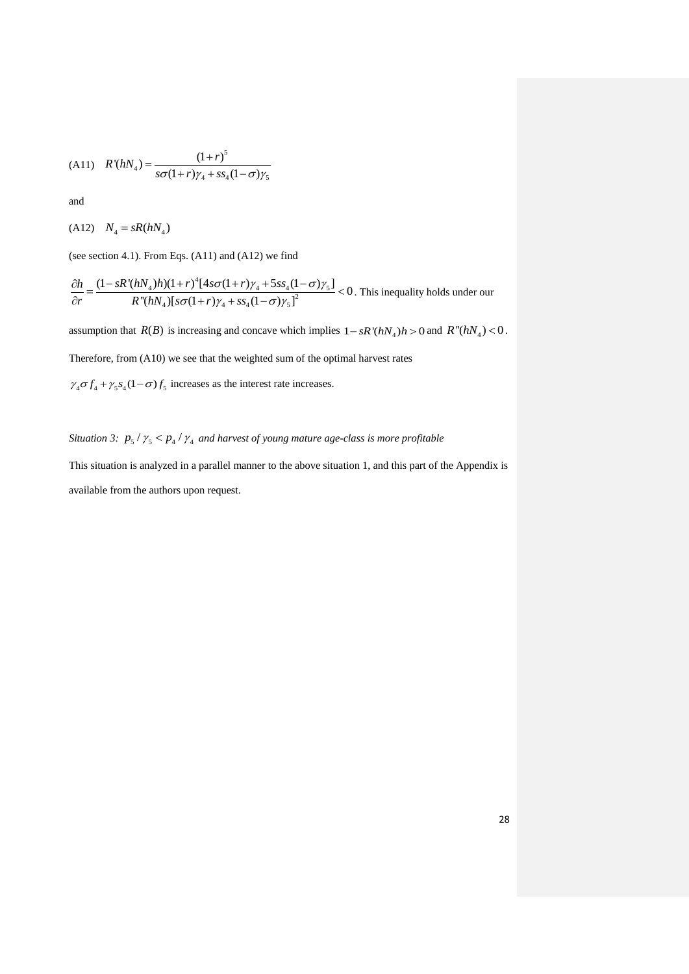(A11) 
$$
R'(hN_4) = \frac{(1+r)^5}{s\sigma(1+r)\gamma_4 + ss_4(1-\sigma)\gamma_5}
$$

and

$$
(A12) \quad N_4 = sR(hN_4)
$$

(see section 4.1). From Eqs. (A11) and (A12) we find  
\n
$$
\frac{\partial h}{\partial r} = \frac{(1 - sR'(hN_4)h)(1+r)^4[4s\sigma(1+r)\gamma_4 + 5ss_4(1-\sigma)\gamma_5]}{R''(hN_4)[s\sigma(1+r)\gamma_4 + ss_4(1-\sigma)\gamma_5]^2} < 0.
$$
 This inequality holds under our

assumption that  $R(B)$  is increasing and concave which implies  $1 - sR'(hN_4)h > 0$  and  $R''(hN_4) < 0$ .

Therefore, from (A10) we see that the weighted sum of the optimal harvest rates

 $\gamma_4 \sigma f_4 + \gamma_5 s_4 (1 - \sigma) f_5$  increases as the interest rate increases.

# *Situation 3:*  $p_5 / \gamma_5 < p_4 / \gamma_4$  and harvest of young mature age-class is more profitable

This situation is analyzed in a parallel manner to the above situation 1, and this part of the Appendix is available from the authors upon request.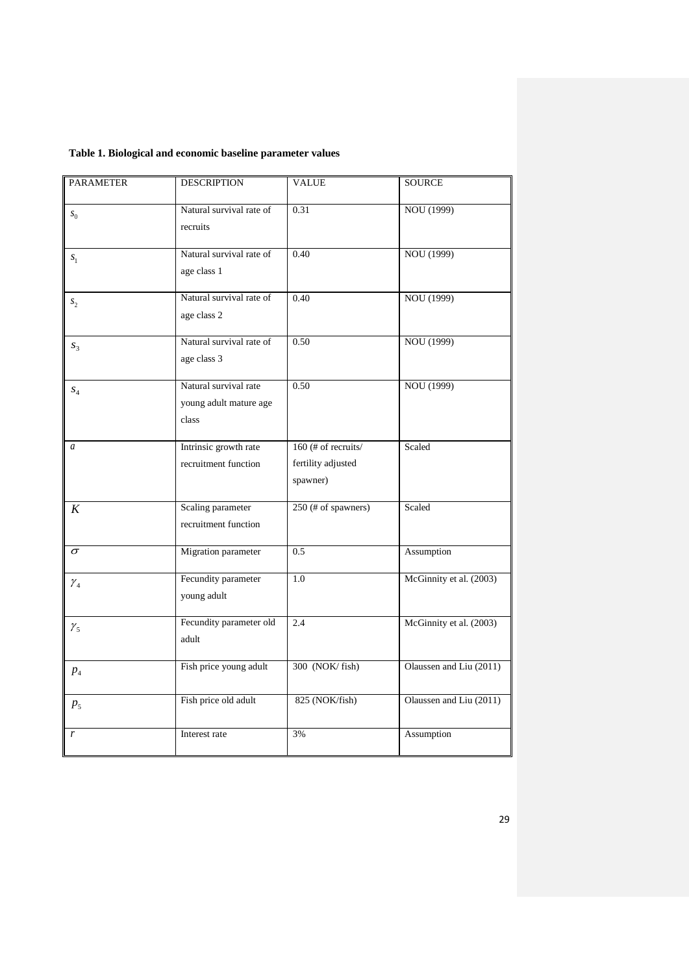# **Table 1. Biological and economic baseline parameter values**

| <b>PARAMETER</b>                | <b>DESCRIPTION</b>                                       | <b>VALUE</b>                                          | <b>SOURCE</b>           |
|---------------------------------|----------------------------------------------------------|-------------------------------------------------------|-------------------------|
| $S_0$                           | Natural survival rate of<br>recruits                     | 0.31                                                  | <b>NOU</b> (1999)       |
| $\boldsymbol{S}_1$              | Natural survival rate of<br>age class 1                  | 0.40                                                  | NOU (1999)              |
| s <sub>2</sub>                  | Natural survival rate of<br>age class 2                  | 0.40                                                  | <b>NOU</b> (1999)       |
| $S_3$                           | Natural survival rate of<br>age class 3                  | 0.50                                                  | <b>NOU</b> (1999)       |
| $S_4$                           | Natural survival rate<br>young adult mature age<br>class | 0.50                                                  | <b>NOU</b> (1999)       |
| $\boldsymbol{a}$                | Intrinsic growth rate<br>recruitment function            | 160 (# of recruits/<br>fertility adjusted<br>spawner) | Scaled                  |
| K                               | Scaling parameter<br>recruitment function                | 250 (# of spawners)                                   | Scaled                  |
| $\sigma$                        | Migration parameter                                      | 0.5                                                   | Assumption              |
| $\gamma_{\scriptscriptstyle 4}$ | Fecundity parameter<br>young adult                       | 1.0                                                   | McGinnity et al. (2003) |
| $\gamma_{5}$                    | Fecundity parameter old<br>adult                         | 2.4                                                   | McGinnity et al. (2003) |
| $p_{4}$                         | Fish price young adult                                   | 300 (NOK/fish)                                        | Olaussen and Liu (2011) |
| $p_{5}$                         | Fish price old adult                                     | 825 (NOK/fish)                                        | Olaussen and Liu (2011) |
| r                               | Interest rate                                            | 3%                                                    | Assumption              |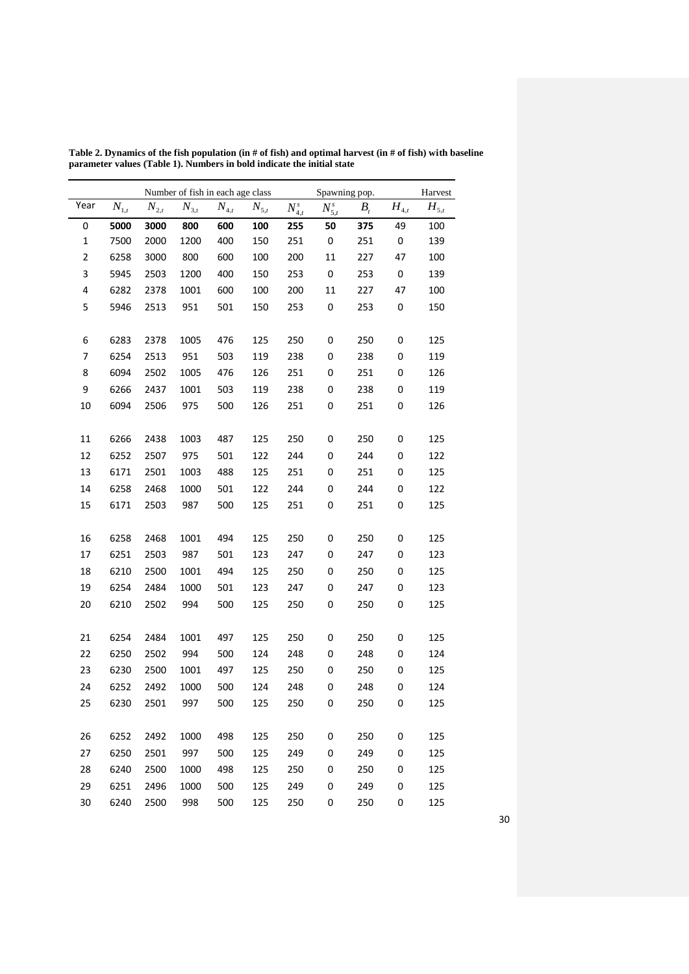|      | Number of fish in each age class |                     |                              | Spawning pop. |                              |             |             | Harvest |                     |           |
|------|----------------------------------|---------------------|------------------------------|---------------|------------------------------|-------------|-------------|---------|---------------------|-----------|
| Year | $N_{\scriptscriptstyle 1,t}$     | ${\cal N}_{_{2,t}}$ | $N_{\scriptscriptstyle 3,t}$ | $N_{4,t}$     | $N_{\scriptscriptstyle 5,t}$ | $N_{4,t}^s$ | $N_{5,t}^s$ | $B_{t}$ | ${\cal H}_{_{4,t}}$ | $H_{5,t}$ |
| 0    | 5000                             | 3000                | 800                          | 600           | 100                          | 255         | 50          | 375     | 49                  | 100       |
| 1    | 7500                             | 2000                | 1200                         | 400           | 150                          | 251         | 0           | 251     | 0                   | 139       |
| 2    | 6258                             | 3000                | 800                          | 600           | 100                          | 200         | 11          | 227     | 47                  | 100       |
| 3    | 5945                             | 2503                | 1200                         | 400           | 150                          | 253         | 0           | 253     | 0                   | 139       |
| 4    | 6282                             | 2378                | 1001                         | 600           | 100                          | 200         | 11          | 227     | 47                  | 100       |
| 5    | 5946                             | 2513                | 951                          | 501           | 150                          | 253         | 0           | 253     | $\pmb{0}$           | 150       |
|      |                                  |                     |                              |               |                              |             |             |         |                     |           |
| 6    | 6283                             | 2378                | 1005                         | 476           | 125                          | 250         | 0           | 250     | 0                   | 125       |
| 7    | 6254                             | 2513                | 951                          | 503           | 119                          | 238         | 0           | 238     | 0                   | 119       |
| 8    | 6094                             | 2502                | 1005                         | 476           | 126                          | 251         | 0           | 251     | 0                   | 126       |
| 9    | 6266                             | 2437                | 1001                         | 503           | 119                          | 238         | 0           | 238     | 0                   | 119       |
| 10   | 6094                             | 2506                | 975                          | 500           | 126                          | 251         | 0           | 251     | 0                   | 126       |
|      |                                  |                     |                              |               |                              |             |             |         |                     |           |
| 11   | 6266                             | 2438                | 1003                         | 487           | 125                          | 250         | 0           | 250     | 0                   | 125       |
| 12   | 6252                             | 2507                | 975                          | 501           | 122                          | 244         | 0           | 244     | 0                   | 122       |
| 13   | 6171                             | 2501                | 1003                         | 488           | 125                          | 251         | 0           | 251     | 0                   | 125       |
| 14   | 6258                             | 2468                | 1000                         | 501           | 122                          | 244         | 0           | 244     | 0                   | 122       |
| 15   | 6171                             | 2503                | 987                          | 500           | 125                          | 251         | 0           | 251     | 0                   | 125       |
|      |                                  |                     |                              |               |                              |             |             |         |                     |           |
| 16   | 6258                             | 2468                | 1001                         | 494           | 125                          | 250         | 0           | 250     | 0                   | 125       |
| 17   | 6251                             | 2503                | 987                          | 501           | 123                          | 247         | 0           | 247     | 0                   | 123       |
| 18   | 6210                             | 2500                | 1001                         | 494           | 125                          | 250         | 0           | 250     | 0                   | 125       |
| 19   | 6254                             | 2484                | 1000                         | 501           | 123                          | 247         | 0           | 247     | 0                   | 123       |
| 20   | 6210                             | 2502                | 994                          | 500           | 125                          | 250         | 0           | 250     | 0                   | 125       |
|      |                                  |                     |                              |               |                              |             |             |         |                     |           |
| 21   | 6254                             | 2484                | 1001                         | 497           | 125                          | 250         | 0           | 250     | 0                   | 125       |
| 22   | 6250                             | 2502                | 994                          | 500           | 124                          | 248         | 0           | 248     | 0                   | 124       |
| 23   | 6230                             | 2500                | 1001                         | 497           | 125                          | 250         | 0           | 250     | 0                   | 125       |
| 24   | 6252                             | 2492                | 1000                         | 500           | 124                          | 248         | 0           | 248     | 0                   | 124       |
| 25   | 6230                             | 2501                | 997                          | 500           | 125                          | 250         | 0           | 250     | 0                   | 125       |
|      |                                  |                     |                              |               |                              |             |             |         |                     |           |
| 26   | 6252                             | 2492                | 1000                         | 498           | 125                          | 250         | 0           | 250     | 0                   | 125       |
| 27   | 6250                             | 2501                | 997                          | 500           | 125                          | 249         | 0           | 249     | 0                   | 125       |
| 28   | 6240                             | 2500                | 1000                         | 498           | 125                          | 250         | 0           | 250     | 0                   | 125       |
| 29   | 6251                             | 2496                | 1000                         | 500           | 125                          | 249         | 0           | 249     | 0                   | 125       |
| 30   | 6240                             | 2500                | 998                          | 500           | 125                          | 250         | 0           | 250     | 0                   | 125       |

**Table 2. Dynamics of the fish population (in # of fish) and optimal harvest (in # of fish) with baseline parameter values (Table 1). Numbers in bold indicate the initial state**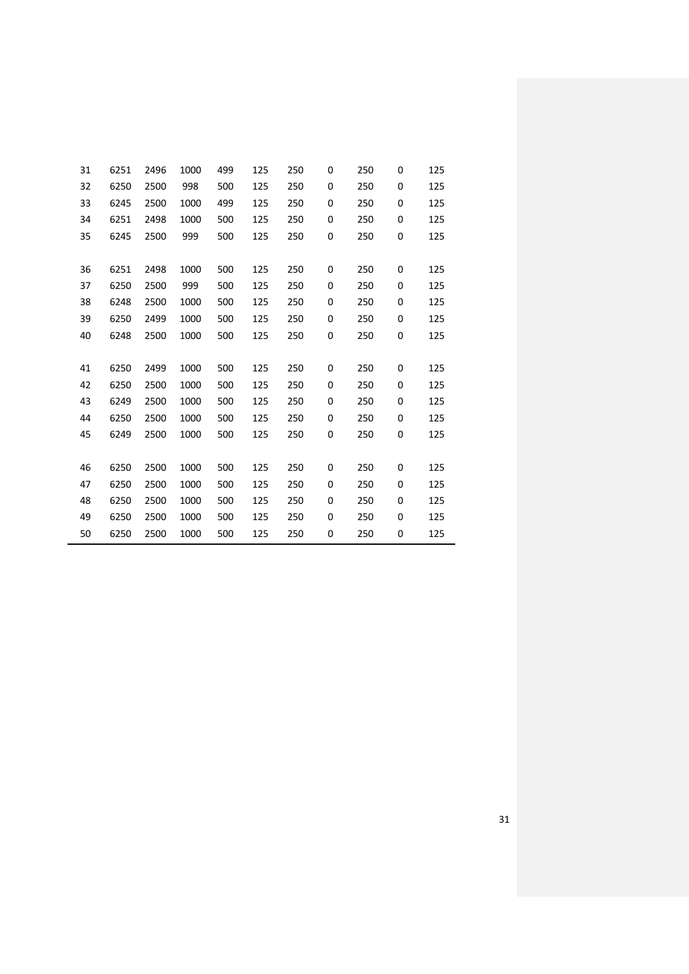| 31 | 6251 | 2496 | 1000 | 499 | 125 | 250 | 0 | 250 | 0 | 125 |
|----|------|------|------|-----|-----|-----|---|-----|---|-----|
| 32 | 6250 | 2500 | 998  | 500 | 125 | 250 | 0 | 250 | 0 | 125 |
| 33 | 6245 | 2500 | 1000 | 499 | 125 | 250 | 0 | 250 | 0 | 125 |
| 34 | 6251 | 2498 | 1000 | 500 | 125 | 250 | 0 | 250 | 0 | 125 |
| 35 | 6245 | 2500 | 999  | 500 | 125 | 250 | 0 | 250 | 0 | 125 |
|    |      |      |      |     |     |     |   |     |   |     |
| 36 | 6251 | 2498 | 1000 | 500 | 125 | 250 | 0 | 250 | 0 | 125 |
| 37 | 6250 | 2500 | 999  | 500 | 125 | 250 | 0 | 250 | 0 | 125 |
| 38 | 6248 | 2500 | 1000 | 500 | 125 | 250 | 0 | 250 | 0 | 125 |
| 39 | 6250 | 2499 | 1000 | 500 | 125 | 250 | 0 | 250 | 0 | 125 |
| 40 | 6248 | 2500 | 1000 | 500 | 125 | 250 | 0 | 250 | 0 | 125 |
|    |      |      |      |     |     |     |   |     |   |     |
| 41 | 6250 | 2499 | 1000 | 500 | 125 | 250 | 0 | 250 | 0 | 125 |
| 42 | 6250 | 2500 | 1000 | 500 | 125 | 250 | 0 | 250 | 0 | 125 |
| 43 | 6249 | 2500 | 1000 | 500 | 125 | 250 | 0 | 250 | 0 | 125 |
| 44 | 6250 | 2500 | 1000 | 500 | 125 | 250 | 0 | 250 | 0 | 125 |
| 45 | 6249 | 2500 | 1000 | 500 | 125 | 250 | 0 | 250 | 0 | 125 |
|    |      |      |      |     |     |     |   |     |   |     |
| 46 | 6250 | 2500 | 1000 | 500 | 125 | 250 | 0 | 250 | 0 | 125 |
| 47 | 6250 | 2500 | 1000 | 500 | 125 | 250 | 0 | 250 | 0 | 125 |
| 48 | 6250 | 2500 | 1000 | 500 | 125 | 250 | 0 | 250 | 0 | 125 |
| 49 | 6250 | 2500 | 1000 | 500 | 125 | 250 | 0 | 250 | 0 | 125 |
| 50 | 6250 | 2500 | 1000 | 500 | 125 | 250 | 0 | 250 | 0 | 125 |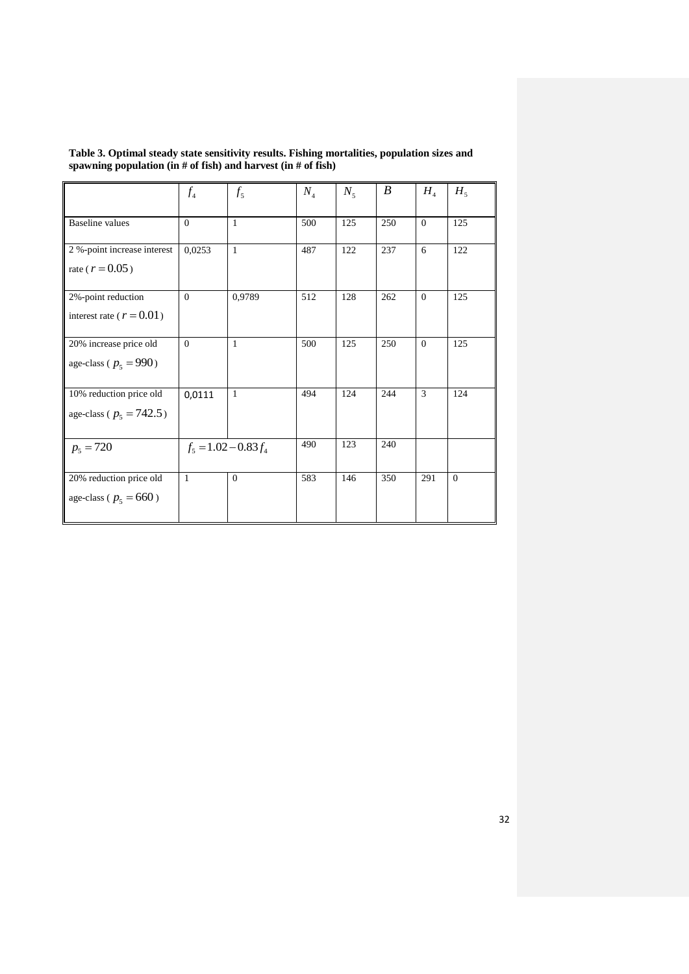|                              | $f_4$                   | $f_5$        | $N_{\scriptscriptstyle 4}$ | $N_{\rm s}$ | B   | $H_{4}$  | H <sub>5</sub> |
|------------------------------|-------------------------|--------------|----------------------------|-------------|-----|----------|----------------|
|                              |                         |              |                            |             |     |          |                |
| <b>Baseline</b> values       | $\Omega$                | $\mathbf{1}$ | 500                        | 125         | 250 | $\theta$ | 125            |
| 2 %-point increase interest  | 0,0253                  | $\mathbf{1}$ | 487                        | 122         | 237 | 6        | 122            |
| rate ( $r = 0.05$ )          |                         |              |                            |             |     |          |                |
| 2%-point reduction           | $\Omega$                | 0,9789       | 512                        | 128         | 262 | $\theta$ | 125            |
| interest rate ( $r = 0.01$ ) |                         |              |                            |             |     |          |                |
| 20% increase price old       | $\Omega$                | $\mathbf{1}$ | 500                        | 125         | 250 | $\theta$ | 125            |
| age-class ( $p_5 = 990$ )    |                         |              |                            |             |     |          |                |
| 10% reduction price old      | 0,0111                  | $\mathbf{1}$ | 494                        | 124         | 244 | 3        | 124            |
| age-class ( $p_5 = 742.5$ )  |                         |              |                            |             |     |          |                |
| $p_5 = 720$                  | $f_5 = 1.02 - 0.83 f_4$ |              | 490                        | 123         | 240 |          |                |
| 20% reduction price old      | $\mathbf{1}$            | $\Omega$     | 583                        | 146         | 350 | 291      | $\Omega$       |
| age-class ( $p_5 = 660$ )    |                         |              |                            |             |     |          |                |

## **Table 3. Optimal steady state sensitivity results. Fishing mortalities, population sizes and spawning population (in # of fish) and harvest (in # of fish)**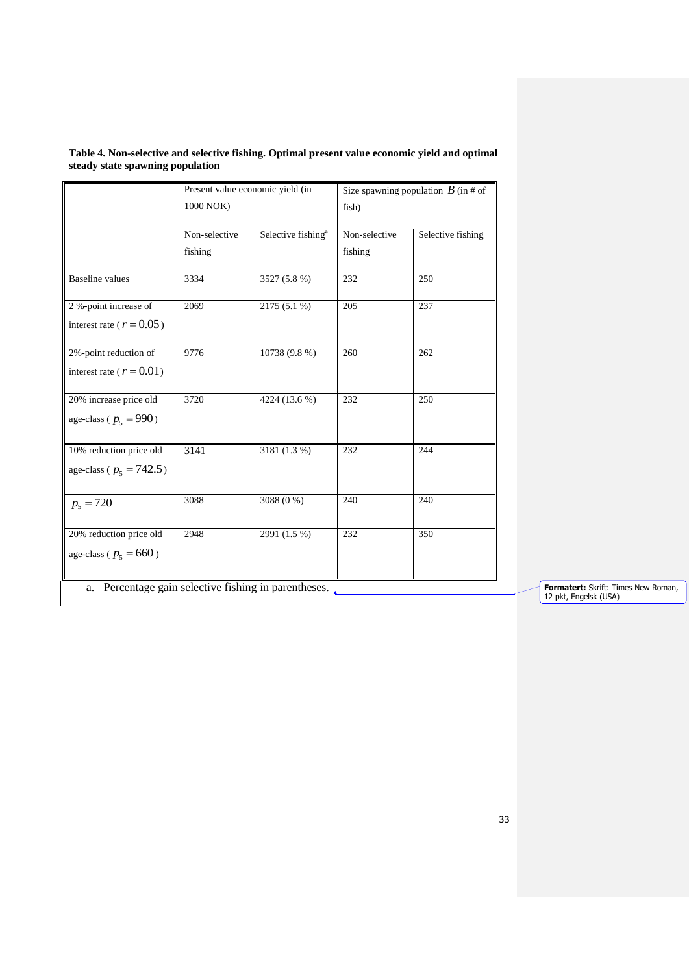|                                                      | Present value economic yield (in |                                | Size spawning population $B$ (in # of |     |  |  |
|------------------------------------------------------|----------------------------------|--------------------------------|---------------------------------------|-----|--|--|
|                                                      | 1000 NOK)                        |                                | fish)                                 |     |  |  |
|                                                      | Non-selective                    | Selective fishing <sup>a</sup> | Non-selective<br>Selective fishing    |     |  |  |
|                                                      | fishing                          |                                | fishing                               |     |  |  |
| <b>Baseline</b> values                               | 3334                             | 3527 (5.8 %)                   | 232                                   | 250 |  |  |
| 2 %-point increase of                                | 2069                             | 2175 (5.1 %)                   | 205                                   | 237 |  |  |
| interest rate ( $r = 0.05$ )                         |                                  |                                |                                       |     |  |  |
| 2%-point reduction of                                | 9776                             | 10738 (9.8 %)                  | 260                                   | 262 |  |  |
| interest rate ( $r = 0.01$ )                         |                                  |                                |                                       |     |  |  |
| 20% increase price old                               | 3720                             | 4224 (13.6 %)                  | 232                                   | 250 |  |  |
| age-class ( $p_5 = 990$ )                            |                                  |                                |                                       |     |  |  |
| 10% reduction price old                              | 3141                             | 3181(1.3%)                     | 232                                   | 244 |  |  |
| age-class ( $p_5 = 742.5$ )                          |                                  |                                |                                       |     |  |  |
| $p_5 = 720$                                          | 3088                             | 3088 (0 %)                     | 240                                   | 240 |  |  |
| 20% reduction price old<br>age-class ( $p_5 = 660$ ) | 2948                             | 2991 (1.5 %)                   | 232                                   | 350 |  |  |
|                                                      |                                  |                                |                                       |     |  |  |

## **Table 4. Non-selective and selective fishing. Optimal present value economic yield and optimal steady state spawning population**

a. Percentage gain selective fishing in parentheses.

**Formatert:** Skrift: Times New Roman, 12 pkt, Engelsk (USA)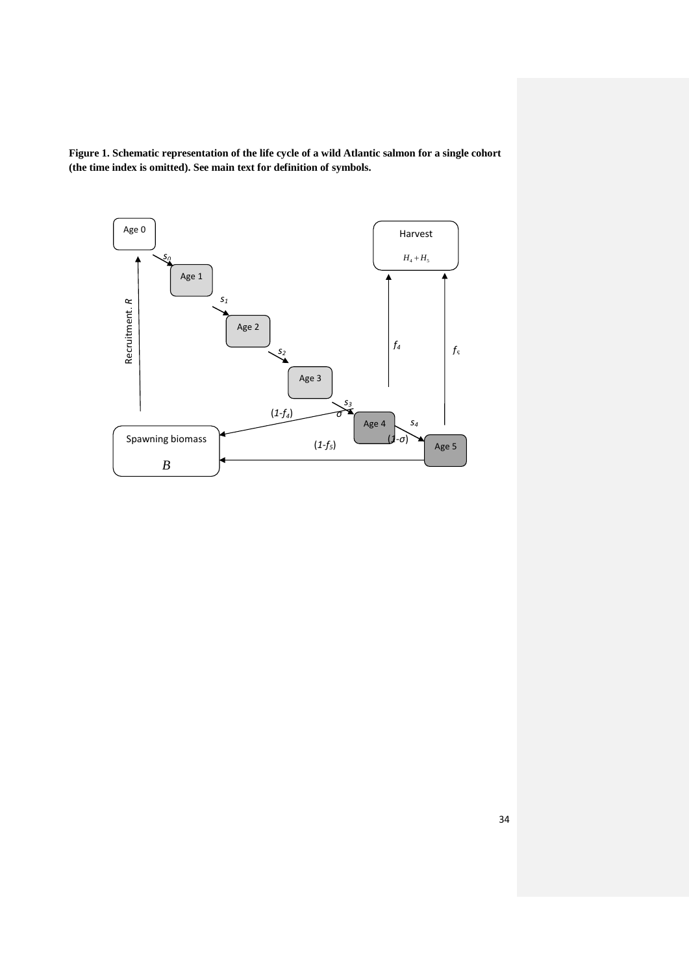**Figure 1. Schematic representation of the life cycle of a wild Atlantic salmon for a single cohort (the time index is omitted). See main text for definition of symbols.**

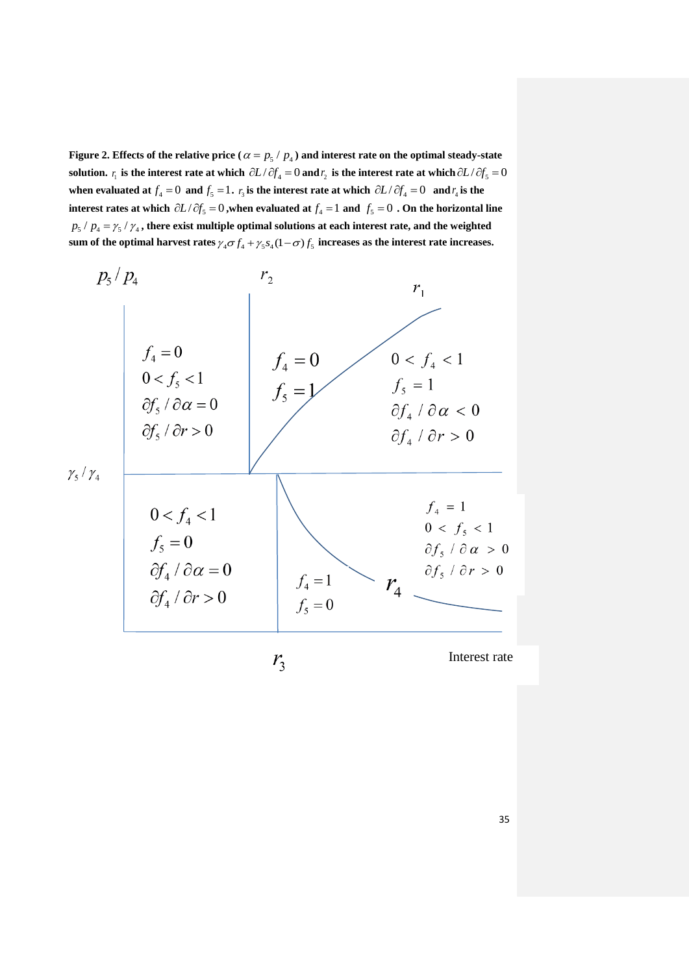Figure 2. Effects of the relative price ( $\alpha = p_5 / p_4$ ) and interest rate on the optimal steady-state solution.  $r_1$  is the interest rate at which  $\partial L / \partial f_4 = 0$  and  $r_2$  is the interest rate at which  $\partial L / \partial f_5 = 0$ when evaluated at  $f_4 = 0$  and  $f_5 = 1$ .  $r_3$  is the interest rate at which  $\partial L / \partial f_4 = 0$  and  $r_4$  is the interest rates at which  $\partial L / \partial f_5 = 0$  ,when evaluated at  $f_4 = 1$  and  $f_5 = 0$  . On the horizontal line  $p_{5}$  /  $p_{4}$  =  $\gamma_{5}$  /  $\gamma_{4}$  , there exist multiple optimal solutions at each interest rate, and the weighted sum of the optimal harvest rates  $\gamma_4 \sigma f_4 + \gamma_5 s_4 (1 - \sigma) f_5$  increases as the interest rate increases.



 $r<sub>3</sub>$ 

Interest rate